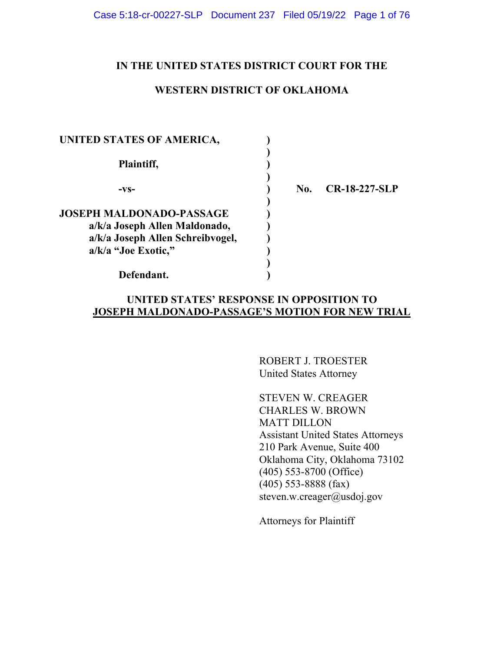## **IN THE UNITED STATES DISTRICT COURT FOR THE**

### **WESTERN DISTRICT OF OKLAHOMA**

| UNITED STATES OF AMERICA,        |     |                      |
|----------------------------------|-----|----------------------|
| Plaintiff,                       |     |                      |
| -VS-                             | No. | <b>CR-18-227-SLP</b> |
| <b>JOSEPH MALDONADO-PASSAGE</b>  |     |                      |
| a/k/a Joseph Allen Maldonado,    |     |                      |
| a/k/a Joseph Allen Schreibvogel, |     |                      |
| a/k/a "Joe Exotic,"              |     |                      |
|                                  |     |                      |
| Defendant.                       |     |                      |

## **UNITED STATES' RESPONSE IN OPPOSITION TO JOSEPH MALDONADO-PASSAGE'S MOTION FOR NEW TRIAL**

ROBERT J. TROESTER United States Attorney

STEVEN W. CREAGER CHARLES W. BROWN MATT DILLON Assistant United States Attorneys 210 Park Avenue, Suite 400 Oklahoma City, Oklahoma 73102 (405) 553-8700 (Office) (405) 553-8888 (fax) steven.w.creager@usdoj.gov

Attorneys for Plaintiff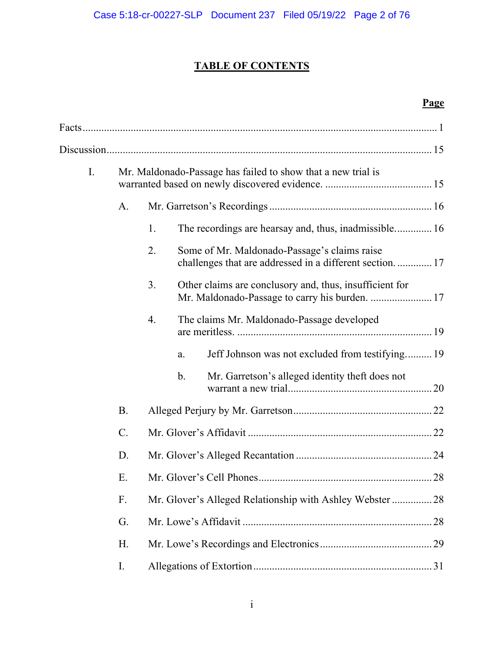# **TABLE OF CONTENTS**

# **Page**

| I. |           |    |    | Mr. Maldonado-Passage has failed to show that a new trial is                                              |
|----|-----------|----|----|-----------------------------------------------------------------------------------------------------------|
|    | A.        |    |    |                                                                                                           |
|    |           | 1. |    | The recordings are hearsay and, thus, inadmissible 16                                                     |
|    |           | 2. |    | Some of Mr. Maldonado-Passage's claims raise<br>challenges that are addressed in a different section 17   |
|    |           | 3. |    | Other claims are conclusory and, thus, insufficient for<br>Mr. Maldonado-Passage to carry his burden.  17 |
|    |           | 4. |    | The claims Mr. Maldonado-Passage developed                                                                |
|    |           |    | a. | Jeff Johnson was not excluded from testifying 19                                                          |
|    |           |    | b. | Mr. Garretson's alleged identity theft does not                                                           |
|    | <b>B.</b> |    |    |                                                                                                           |
|    | $C$ .     |    |    |                                                                                                           |
|    | D.        |    |    |                                                                                                           |
|    | E.        |    |    |                                                                                                           |
|    | F.        |    |    | Mr. Glover's Alleged Relationship with Ashley Webster 28                                                  |
|    | G.        |    |    |                                                                                                           |
|    | Η.        |    |    |                                                                                                           |
|    | I.        |    |    |                                                                                                           |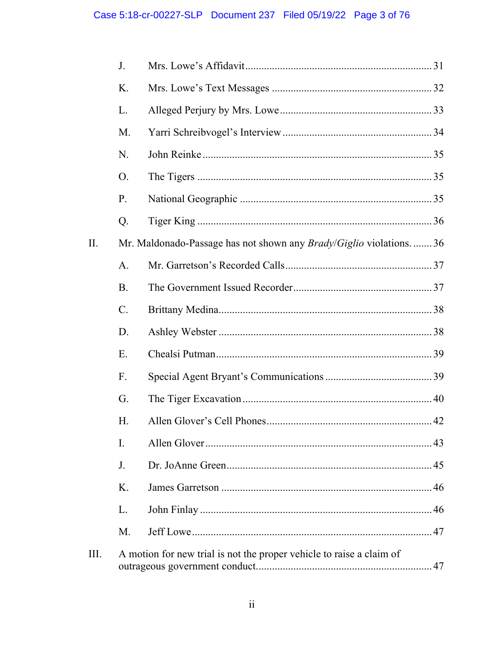|      | J.        |                                                                          |  |
|------|-----------|--------------------------------------------------------------------------|--|
|      | K.        |                                                                          |  |
|      | L.        |                                                                          |  |
|      | M.        |                                                                          |  |
|      | N.        |                                                                          |  |
|      | O.        |                                                                          |  |
|      | P.        |                                                                          |  |
|      | Q.        |                                                                          |  |
| Π.   |           | Mr. Maldonado-Passage has not shown any <i>Brady/Giglio</i> violations36 |  |
|      | A.        |                                                                          |  |
|      | <b>B.</b> |                                                                          |  |
|      | $C$ .     |                                                                          |  |
|      | D.        |                                                                          |  |
|      | E.        |                                                                          |  |
|      | F.        |                                                                          |  |
|      | G.        |                                                                          |  |
|      | H.        |                                                                          |  |
|      | I.        |                                                                          |  |
|      | J.        |                                                                          |  |
|      | K.        |                                                                          |  |
|      | L.        |                                                                          |  |
|      | M.        |                                                                          |  |
| III. |           | A motion for new trial is not the proper vehicle to raise a claim of     |  |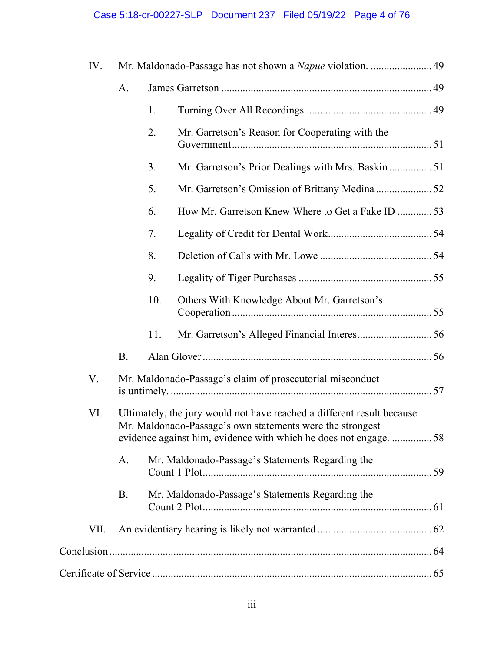# Case 5:18-cr-00227-SLP Document 237 Filed 05/19/22 Page 4 of 76

| IV.  |           |     | Mr. Maldonado-Passage has not shown a Napue violation.  49                                                                                                                                               |  |
|------|-----------|-----|----------------------------------------------------------------------------------------------------------------------------------------------------------------------------------------------------------|--|
|      | A.        |     |                                                                                                                                                                                                          |  |
|      |           | 1.  |                                                                                                                                                                                                          |  |
|      |           | 2.  | Mr. Garretson's Reason for Cooperating with the                                                                                                                                                          |  |
|      |           | 3.  | Mr. Garretson's Prior Dealings with Mrs. Baskin  51                                                                                                                                                      |  |
|      |           | 5.  |                                                                                                                                                                                                          |  |
|      |           | 6.  | How Mr. Garretson Knew Where to Get a Fake ID 53                                                                                                                                                         |  |
|      |           | 7.  |                                                                                                                                                                                                          |  |
|      |           | 8.  |                                                                                                                                                                                                          |  |
|      |           | 9.  |                                                                                                                                                                                                          |  |
|      |           | 10. | Others With Knowledge About Mr. Garretson's                                                                                                                                                              |  |
|      |           | 11. |                                                                                                                                                                                                          |  |
|      | <b>B.</b> |     |                                                                                                                                                                                                          |  |
| V.   |           |     | Mr. Maldonado-Passage's claim of prosecutorial misconduct                                                                                                                                                |  |
| VI.  |           |     | Ultimately, the jury would not have reached a different result because<br>Mr. Maldonado-Passage's own statements were the strongest<br>evidence against him, evidence with which he does not engage.  58 |  |
|      | A.        |     | Mr. Maldonado-Passage's Statements Regarding the                                                                                                                                                         |  |
|      | <b>B.</b> |     | Mr. Maldonado-Passage's Statements Regarding the                                                                                                                                                         |  |
| VII. |           |     |                                                                                                                                                                                                          |  |
|      |           |     |                                                                                                                                                                                                          |  |
|      |           |     |                                                                                                                                                                                                          |  |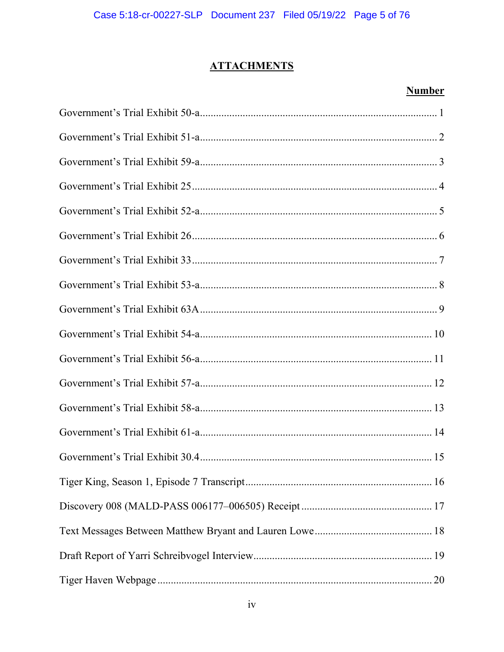# **ATTACHMENTS**

## **Number**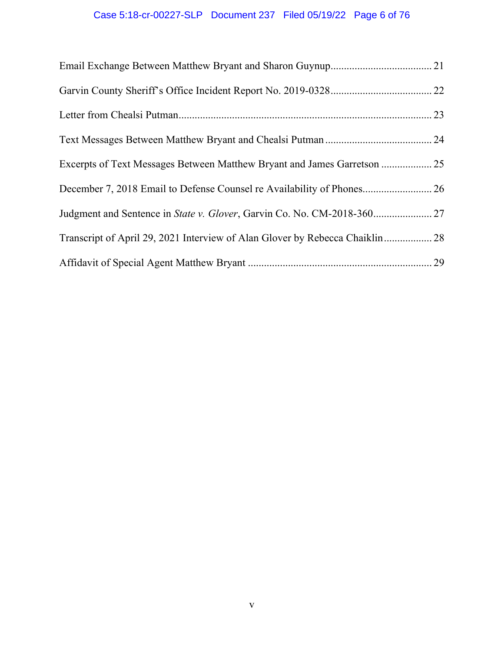# Case 5:18-cr-00227-SLP Document 237 Filed 05/19/22 Page 6 of 76

| Judgment and Sentence in State v. Glover, Garvin Co. No. CM-2018-360 27      |  |
|------------------------------------------------------------------------------|--|
| Transcript of April 29, 2021 Interview of Alan Glover by Rebecca Chaiklin 28 |  |
|                                                                              |  |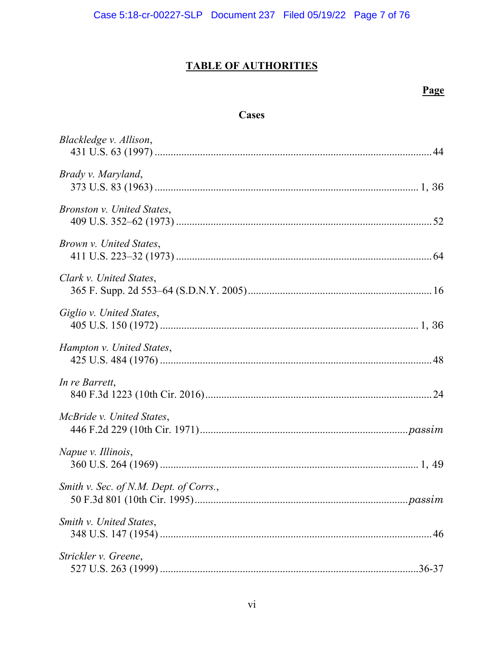# **TABLE OF AUTHORITIES**

## Page

## **Cases**

| Blackledge v. Allison,                 |
|----------------------------------------|
| Brady v. Maryland,                     |
| Bronston v. United States,             |
| Brown v. United States,                |
| Clark v. United States,                |
| Giglio v. United States,               |
| Hampton v. United States,              |
| In re Barrett,                         |
| McBride v. United States,              |
| Napue v. Illinois,                     |
| Smith v. Sec. of N.M. Dept. of Corrs., |
| Smith v. United States,                |
| Strickler v. Greene,                   |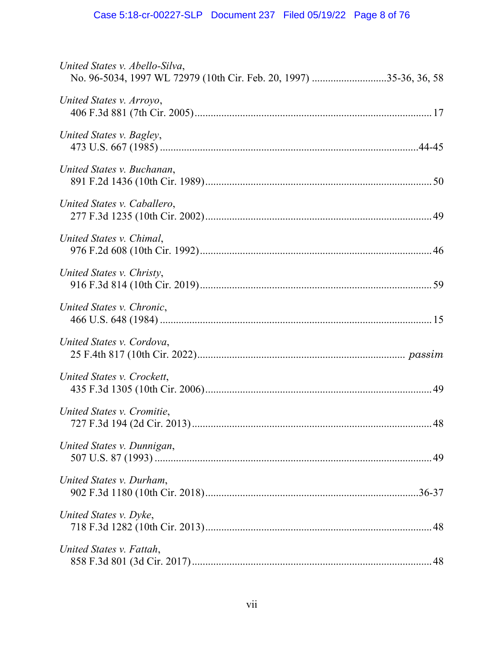| United States v. Abello-Silva,<br>No. 96-5034, 1997 WL 72979 (10th Cir. Feb. 20, 1997) 35-36, 36, 58 |
|------------------------------------------------------------------------------------------------------|
| United States v. Arroyo,                                                                             |
| United States v. Bagley,                                                                             |
| United States v. Buchanan,                                                                           |
| United States v. Caballero,                                                                          |
| United States v. Chimal,                                                                             |
| United States v. Christy,                                                                            |
| United States v. Chronic,                                                                            |
| United States v. Cordova,                                                                            |
| United States v. Crockett,                                                                           |
| United States v. Cromitie,                                                                           |
| United States v. Dunnigan,                                                                           |
| United States v. Durham,                                                                             |
| United States v. Dyke,                                                                               |
| United States v. Fattah,                                                                             |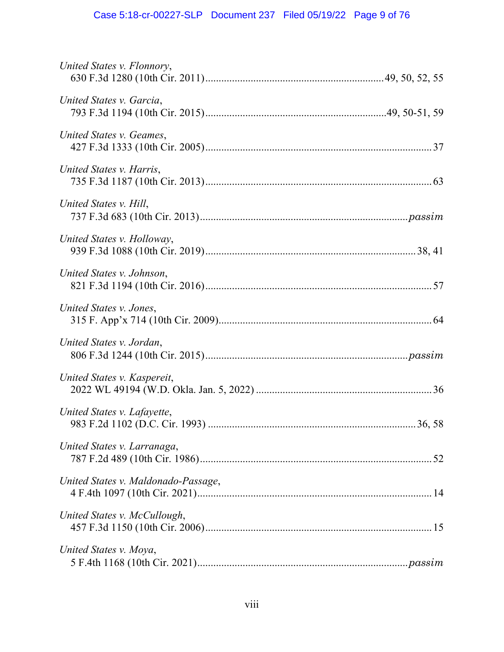| United States v. Flonnory,          |
|-------------------------------------|
| United States v. Garcia,            |
| United States v. Geames,            |
| United States v. Harris,            |
| United States v. Hill,              |
| United States v. Holloway,          |
| United States v. Johnson,           |
| United States v. Jones,             |
| United States v. Jordan,            |
| United States v. Kaspereit,         |
| United States v. Lafayette,         |
| United States v. Larranaga,         |
| United States v. Maldonado-Passage, |
| United States v. McCullough,        |
| United States v. Moya,              |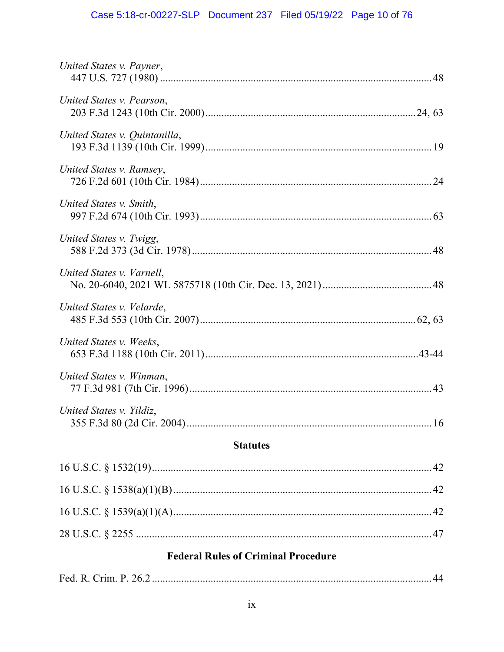## Case 5:18-cr-00227-SLP Document 237 Filed 05/19/22 Page 10 of 76

| United States v. Payner,      |    |
|-------------------------------|----|
| United States v. Pearson,     |    |
| United States v. Quintanilla, |    |
| United States v. Ramsey,      |    |
| United States v. Smith,       |    |
| United States v. Twigg,       |    |
| United States v. Varnell,     |    |
| United States v. Velarde,     |    |
| United States v. Weeks,       |    |
| United States v. Winman,      |    |
| United States v. Yildiz,      |    |
| <b>Statutes</b>               |    |
|                               | 42 |
|                               | 42 |

## **Federal Rules of Criminal Procedure**

|--|--|--|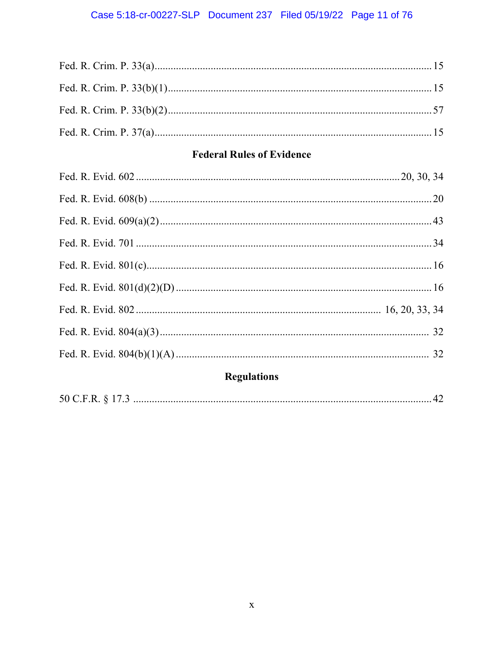## Case 5:18-cr-00227-SLP Document 237 Filed 05/19/22 Page 11 of 76

## **Federal Rules of Evidence**

# **Regulations**

|--|--|--|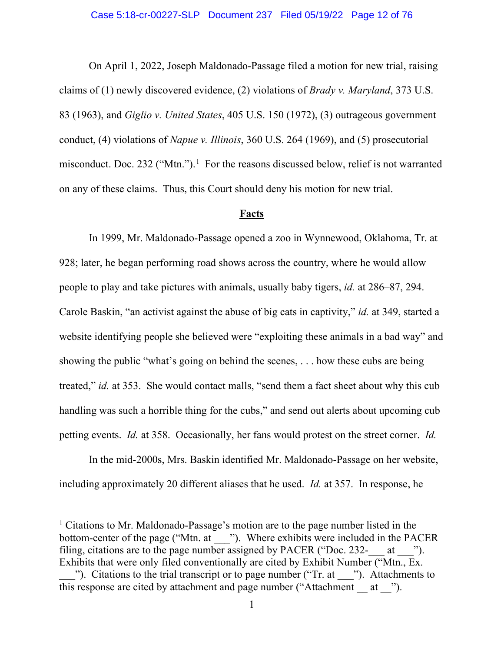<span id="page-11-2"></span> On April 1, 2022, Joseph Maldonado-Passage filed a motion for new trial, raising claims of (1) newly discovered evidence, (2) violations of *Brady v. Maryland*, 373 U.S. 83 (1963), and *Giglio v. United States*, 405 U.S. 150 (1972), (3) outrageous government conduct, (4) violations of *Napue v. Illinois*, 360 U.S. 264 (1969), and (5) prosecutorial misconduct. Doc. 232 ("Mtn.").<sup>[1](#page-11-4)</sup> For the reasons discussed below, relief is not warranted on any of these claims. Thus, this Court should deny his motion for new trial.

#### <span id="page-11-3"></span><span id="page-11-1"></span>**Facts**

<span id="page-11-0"></span> In 1999, Mr. Maldonado-Passage opened a zoo in Wynnewood, Oklahoma, Tr. at 928; later, he began performing road shows across the country, where he would allow people to play and take pictures with animals, usually baby tigers, *id.* at 286–87, 294. Carole Baskin, "an activist against the abuse of big cats in captivity," *id.* at 349, started a website identifying people she believed were "exploiting these animals in a bad way" and showing the public "what's going on behind the scenes, . . . how these cubs are being treated," *id.* at 353. She would contact malls, "send them a fact sheet about why this cub handling was such a horrible thing for the cubs," and send out alerts about upcoming cub petting events. *Id.* at 358. Occasionally, her fans would protest on the street corner. *Id.*

 In the mid-2000s, Mrs. Baskin identified Mr. Maldonado-Passage on her website, including approximately 20 different aliases that he used. *Id.* at 357. In response, he

<span id="page-11-4"></span><sup>1</sup> Citations to Mr. Maldonado-Passage's motion are to the page number listed in the bottom-center of the page ("Mtn. at \_\_\_"). Where exhibits were included in the PACER filing, citations are to the page number assigned by PACER ("Doc. 232- $at$ "). Exhibits that were only filed conventionally are cited by Exhibit Number ("Mtn., Ex.

<sup>&</sup>quot;). Citations to the trial transcript or to page number ("Tr. at \_\_\_"). Attachments to this response are cited by attachment and page number ("Attachment  $\alpha$  at  $\alpha$ ").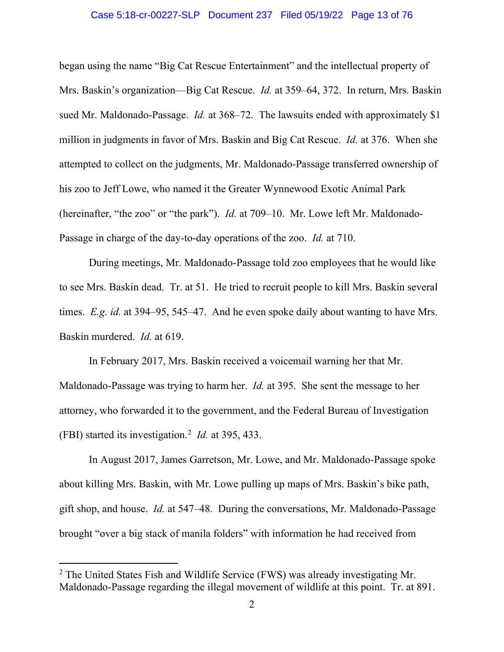#### Case 5:18-cr-00227-SLP Document 237 Filed 05/19/22 Page 13 of 76

began using the name "Big Cat Rescue Entertainment" and the intellectual property of Mrs. Baskin's organization—Big Cat Rescue. *Id.* at 359–64, 372. In return, Mrs. Baskin sued Mr. Maldonado-Passage. *Id.* at 368–72. The lawsuits ended with approximately \$1 million in judgments in favor of Mrs. Baskin and Big Cat Rescue. *Id.* at 376. When she attempted to collect on the judgments, Mr. Maldonado-Passage transferred ownership of his zoo to Jeff Lowe, who named it the Greater Wynnewood Exotic Animal Park (hereinafter, "the zoo" or "the park"). *Id.* at 709–10. Mr. Lowe left Mr. Maldonado-Passage in charge of the day-to-day operations of the zoo. *Id.* at 710.

During meetings, Mr. Maldonado-Passage told zoo employees that he would like to see Mrs. Baskin dead. Tr. at 51. He tried to recruit people to kill Mrs. Baskin several times. *E.g. id.* at 394–95, 545–47. And he even spoke daily about wanting to have Mrs. Baskin murdered. *Id.* at 619.

In February 2017, Mrs. Baskin received a voicemail warning her that Mr. Maldonado-Passage was trying to harm her. *Id.* at 395. She sent the message to her attorney, who forwarded it to the government, and the Federal Bureau of Investigation (FBI) started its investigation.[2](#page-12-0) *Id.* at 395, 433.

In August 2017, James Garretson, Mr. Lowe, and Mr. Maldonado-Passage spoke about killing Mrs. Baskin, with Mr. Lowe pulling up maps of Mrs. Baskin's bike path, gift shop, and house. *Id.* at 547–48. During the conversations, Mr. Maldonado-Passage brought "over a big stack of manila folders" with information he had received from

<span id="page-12-0"></span> $2$  The United States Fish and Wildlife Service (FWS) was already investigating Mr. Maldonado-Passage regarding the illegal movement of wildlife at this point. Tr. at 891.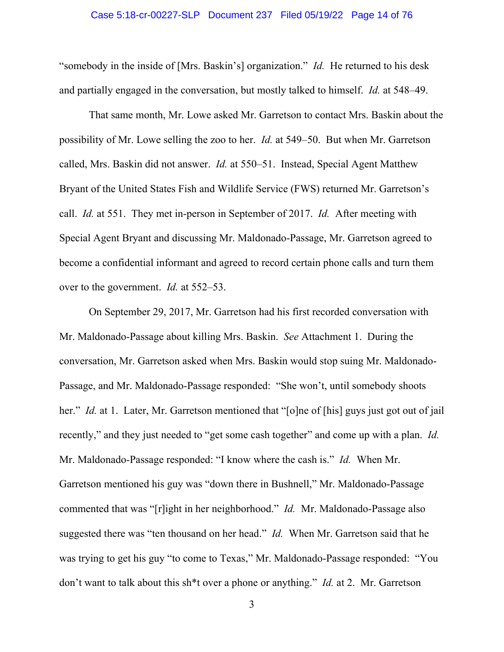#### Case 5:18-cr-00227-SLP Document 237 Filed 05/19/22 Page 14 of 76

"somebody in the inside of [Mrs. Baskin's] organization." *Id.* He returned to his desk and partially engaged in the conversation, but mostly talked to himself. *Id.* at 548–49.

That same month, Mr. Lowe asked Mr. Garretson to contact Mrs. Baskin about the possibility of Mr. Lowe selling the zoo to her. *Id.* at 549–50. But when Mr. Garretson called, Mrs. Baskin did not answer. *Id.* at 550–51. Instead, Special Agent Matthew Bryant of the United States Fish and Wildlife Service (FWS) returned Mr. Garretson's call. *Id.* at 551. They met in-person in September of 2017. *Id.* After meeting with Special Agent Bryant and discussing Mr. Maldonado-Passage, Mr. Garretson agreed to become a confidential informant and agreed to record certain phone calls and turn them over to the government. *Id.* at 552–53.

On September 29, 2017, Mr. Garretson had his first recorded conversation with Mr. Maldonado-Passage about killing Mrs. Baskin. *See* Attachment 1. During the conversation, Mr. Garretson asked when Mrs. Baskin would stop suing Mr. Maldonado-Passage, and Mr. Maldonado-Passage responded: "She won't, until somebody shoots her." *Id.* at 1. Later, Mr. Garretson mentioned that "[o]ne of [his] guys just got out of jail recently," and they just needed to "get some cash together" and come up with a plan. *Id.* Mr. Maldonado-Passage responded: "I know where the cash is." *Id.* When Mr. Garretson mentioned his guy was "down there in Bushnell," Mr. Maldonado-Passage commented that was "[r]ight in her neighborhood." *Id.* Mr. Maldonado-Passage also suggested there was "ten thousand on her head." *Id.* When Mr. Garretson said that he was trying to get his guy "to come to Texas," Mr. Maldonado-Passage responded: "You don't want to talk about this sh\*t over a phone or anything." *Id.* at 2. Mr. Garretson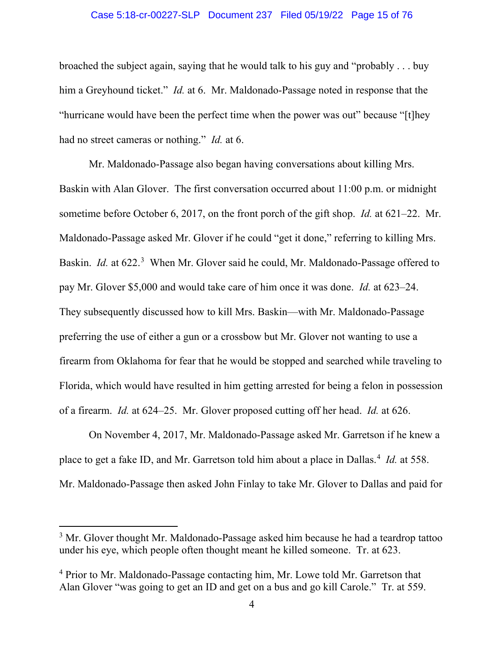#### Case 5:18-cr-00227-SLP Document 237 Filed 05/19/22 Page 15 of 76

broached the subject again, saying that he would talk to his guy and "probably . . . buy him a Greyhound ticket." *Id.* at 6. Mr. Maldonado-Passage noted in response that the "hurricane would have been the perfect time when the power was out" because "[t]hey had no street cameras or nothing." *Id.* at 6.

Mr. Maldonado-Passage also began having conversations about killing Mrs. Baskin with Alan Glover. The first conversation occurred about 11:00 p.m. or midnight sometime before October 6, 2017, on the front porch of the gift shop. *Id.* at 621–22. Mr. Maldonado-Passage asked Mr. Glover if he could "get it done," referring to killing Mrs. Baskin. *Id.* at 622.<sup>[3](#page-14-0)</sup> When Mr. Glover said he could, Mr. Maldonado-Passage offered to pay Mr. Glover \$5,000 and would take care of him once it was done. *Id.* at 623–24. They subsequently discussed how to kill Mrs. Baskin—with Mr. Maldonado-Passage preferring the use of either a gun or a crossbow but Mr. Glover not wanting to use a firearm from Oklahoma for fear that he would be stopped and searched while traveling to Florida, which would have resulted in him getting arrested for being a felon in possession of a firearm. *Id.* at 624–25. Mr. Glover proposed cutting off her head. *Id.* at 626.

On November 4, 2017, Mr. Maldonado-Passage asked Mr. Garretson if he knew a place to get a fake ID, and Mr. Garretson told him about a place in Dallas. [4](#page-14-1) *Id.* at 558. Mr. Maldonado-Passage then asked John Finlay to take Mr. Glover to Dallas and paid for

<span id="page-14-0"></span><sup>&</sup>lt;sup>3</sup> Mr. Glover thought Mr. Maldonado-Passage asked him because he had a teardrop tattoo under his eye, which people often thought meant he killed someone. Tr. at 623.

<span id="page-14-1"></span><sup>&</sup>lt;sup>4</sup> Prior to Mr. Maldonado-Passage contacting him, Mr. Lowe told Mr. Garretson that Alan Glover "was going to get an ID and get on a bus and go kill Carole." Tr. at 559.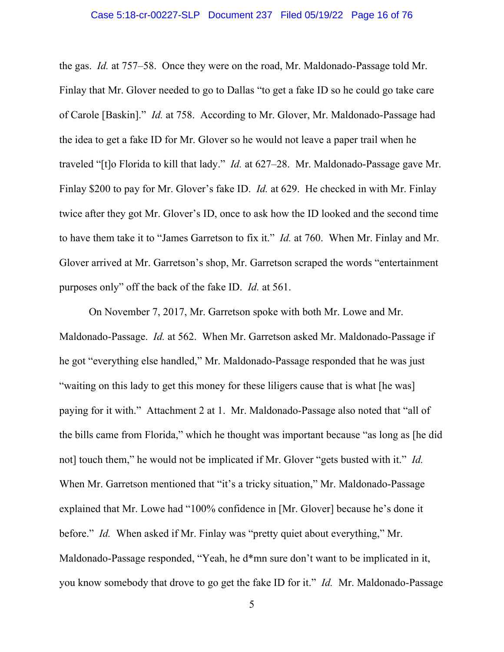the gas. *Id.* at 757–58. Once they were on the road, Mr. Maldonado-Passage told Mr. Finlay that Mr. Glover needed to go to Dallas "to get a fake ID so he could go take care of Carole [Baskin]." *Id.* at 758. According to Mr. Glover, Mr. Maldonado-Passage had the idea to get a fake ID for Mr. Glover so he would not leave a paper trail when he traveled "[t]o Florida to kill that lady." *Id.* at 627–28. Mr. Maldonado-Passage gave Mr. Finlay \$200 to pay for Mr. Glover's fake ID. *Id.* at 629. He checked in with Mr. Finlay twice after they got Mr. Glover's ID, once to ask how the ID looked and the second time to have them take it to "James Garretson to fix it." *Id.* at 760. When Mr. Finlay and Mr. Glover arrived at Mr. Garretson's shop, Mr. Garretson scraped the words "entertainment purposes only" off the back of the fake ID. *Id.* at 561.

On November 7, 2017, Mr. Garretson spoke with both Mr. Lowe and Mr. Maldonado-Passage. *Id.* at 562. When Mr. Garretson asked Mr. Maldonado-Passage if he got "everything else handled," Mr. Maldonado-Passage responded that he was just "waiting on this lady to get this money for these liligers cause that is what [he was] paying for it with." Attachment 2 at 1. Mr. Maldonado-Passage also noted that "all of the bills came from Florida," which he thought was important because "as long as [he did not] touch them," he would not be implicated if Mr. Glover "gets busted with it." *Id.* When Mr. Garretson mentioned that "it's a tricky situation," Mr. Maldonado-Passage explained that Mr. Lowe had "100% confidence in [Mr. Glover] because he's done it before." *Id.* When asked if Mr. Finlay was "pretty quiet about everything," Mr. Maldonado-Passage responded, "Yeah, he d\*mn sure don't want to be implicated in it, you know somebody that drove to go get the fake ID for it." *Id.* Mr. Maldonado-Passage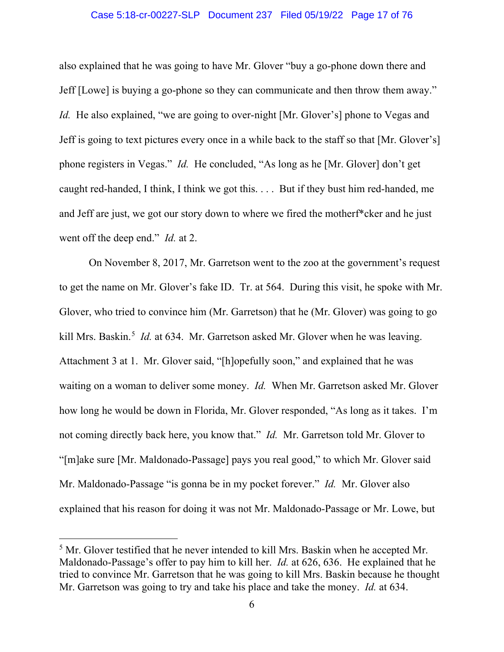#### Case 5:18-cr-00227-SLP Document 237 Filed 05/19/22 Page 17 of 76

also explained that he was going to have Mr. Glover "buy a go-phone down there and Jeff [Lowe] is buying a go-phone so they can communicate and then throw them away." *Id.* He also explained, "we are going to over-night [Mr. Glover's] phone to Vegas and Jeff is going to text pictures every once in a while back to the staff so that [Mr. Glover's] phone registers in Vegas." *Id.* He concluded, "As long as he [Mr. Glover] don't get caught red-handed, I think, I think we got this. . . . But if they bust him red-handed, me and Jeff are just, we got our story down to where we fired the motherf\*cker and he just went off the deep end." *Id.* at 2.

On November 8, 2017, Mr. Garretson went to the zoo at the government's request to get the name on Mr. Glover's fake ID. Tr. at 564. During this visit, he spoke with Mr. Glover, who tried to convince him (Mr. Garretson) that he (Mr. Glover) was going to go kill Mrs. Baskin.<sup>[5](#page-16-0)</sup> *Id.* at 634. Mr. Garretson asked Mr. Glover when he was leaving. Attachment 3 at 1. Mr. Glover said, "[h]opefully soon," and explained that he was waiting on a woman to deliver some money. *Id.* When Mr. Garretson asked Mr. Glover how long he would be down in Florida, Mr. Glover responded, "As long as it takes. I'm not coming directly back here, you know that." *Id.* Mr. Garretson told Mr. Glover to "[m]ake sure [Mr. Maldonado-Passage] pays you real good," to which Mr. Glover said Mr. Maldonado-Passage "is gonna be in my pocket forever." *Id.* Mr. Glover also explained that his reason for doing it was not Mr. Maldonado-Passage or Mr. Lowe, but

<span id="page-16-0"></span><sup>&</sup>lt;sup>5</sup> Mr. Glover testified that he never intended to kill Mrs. Baskin when he accepted Mr. Maldonado-Passage's offer to pay him to kill her. *Id.* at 626, 636. He explained that he tried to convince Mr. Garretson that he was going to kill Mrs. Baskin because he thought Mr. Garretson was going to try and take his place and take the money. *Id.* at 634.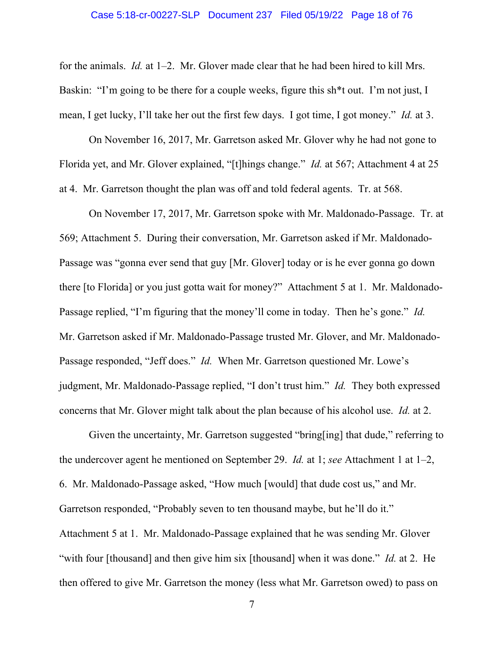#### Case 5:18-cr-00227-SLP Document 237 Filed 05/19/22 Page 18 of 76

for the animals. *Id.* at 1–2. Mr. Glover made clear that he had been hired to kill Mrs. Baskin: "I'm going to be there for a couple weeks, figure this sh<sup>\*\*</sup>t out. I'm not just, I mean, I get lucky, I'll take her out the first few days. I got time, I got money." *Id.* at 3.

On November 16, 2017, Mr. Garretson asked Mr. Glover why he had not gone to Florida yet, and Mr. Glover explained, "[t]hings change." *Id.* at 567; Attachment 4 at 25 at 4. Mr. Garretson thought the plan was off and told federal agents. Tr. at 568.

On November 17, 2017, Mr. Garretson spoke with Mr. Maldonado-Passage. Tr. at 569; Attachment 5. During their conversation, Mr. Garretson asked if Mr. Maldonado-Passage was "gonna ever send that guy [Mr. Glover] today or is he ever gonna go down there [to Florida] or you just gotta wait for money?" Attachment 5 at 1. Mr. Maldonado-Passage replied, "I'm figuring that the money'll come in today. Then he's gone." *Id.* Mr. Garretson asked if Mr. Maldonado-Passage trusted Mr. Glover, and Mr. Maldonado-Passage responded, "Jeff does." *Id.* When Mr. Garretson questioned Mr. Lowe's judgment, Mr. Maldonado-Passage replied, "I don't trust him." *Id.* They both expressed concerns that Mr. Glover might talk about the plan because of his alcohol use. *Id.* at 2.

Given the uncertainty, Mr. Garretson suggested "bring[ing] that dude," referring to the undercover agent he mentioned on September 29. *Id.* at 1; *see* Attachment 1 at 1–2, 6. Mr. Maldonado-Passage asked, "How much [would] that dude cost us," and Mr. Garretson responded, "Probably seven to ten thousand maybe, but he'll do it." Attachment 5 at 1. Mr. Maldonado-Passage explained that he was sending Mr. Glover "with four [thousand] and then give him six [thousand] when it was done." *Id.* at 2. He then offered to give Mr. Garretson the money (less what Mr. Garretson owed) to pass on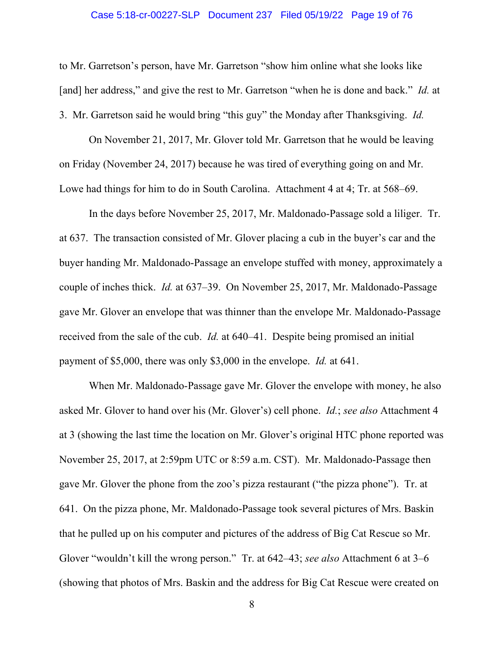#### Case 5:18-cr-00227-SLP Document 237 Filed 05/19/22 Page 19 of 76

to Mr. Garretson's person, have Mr. Garretson "show him online what she looks like [and] her address," and give the rest to Mr. Garretson "when he is done and back." *Id.* at 3. Mr. Garretson said he would bring "this guy" the Monday after Thanksgiving. *Id.*

On November 21, 2017, Mr. Glover told Mr. Garretson that he would be leaving on Friday (November 24, 2017) because he was tired of everything going on and Mr. Lowe had things for him to do in South Carolina. Attachment 4 at 4; Tr. at 568–69.

In the days before November 25, 2017, Mr. Maldonado-Passage sold a liliger. Tr. at 637. The transaction consisted of Mr. Glover placing a cub in the buyer's car and the buyer handing Mr. Maldonado-Passage an envelope stuffed with money, approximately a couple of inches thick. *Id.* at 637–39. On November 25, 2017, Mr. Maldonado-Passage gave Mr. Glover an envelope that was thinner than the envelope Mr. Maldonado-Passage received from the sale of the cub. *Id.* at 640–41. Despite being promised an initial payment of \$5,000, there was only \$3,000 in the envelope. *Id.* at 641.

When Mr. Maldonado-Passage gave Mr. Glover the envelope with money, he also asked Mr. Glover to hand over his (Mr. Glover's) cell phone. *Id.*; *see also* Attachment 4 at 3 (showing the last time the location on Mr. Glover's original HTC phone reported was November 25, 2017, at 2:59pm UTC or 8:59 a.m. CST). Mr. Maldonado-Passage then gave Mr. Glover the phone from the zoo's pizza restaurant ("the pizza phone"). Tr. at 641. On the pizza phone, Mr. Maldonado-Passage took several pictures of Mrs. Baskin that he pulled up on his computer and pictures of the address of Big Cat Rescue so Mr. Glover "wouldn't kill the wrong person." Tr. at 642–43; *see also* Attachment 6 at 3–6 (showing that photos of Mrs. Baskin and the address for Big Cat Rescue were created on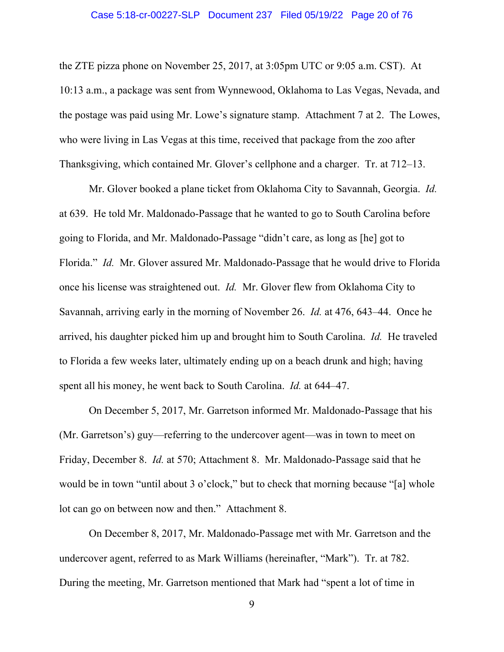#### Case 5:18-cr-00227-SLP Document 237 Filed 05/19/22 Page 20 of 76

the ZTE pizza phone on November 25, 2017, at 3:05pm UTC or 9:05 a.m. CST). At 10:13 a.m., a package was sent from Wynnewood, Oklahoma to Las Vegas, Nevada, and the postage was paid using Mr. Lowe's signature stamp. Attachment 7 at 2. The Lowes, who were living in Las Vegas at this time, received that package from the zoo after Thanksgiving, which contained Mr. Glover's cellphone and a charger. Tr. at 712–13.

Mr. Glover booked a plane ticket from Oklahoma City to Savannah, Georgia. *Id.* at 639. He told Mr. Maldonado-Passage that he wanted to go to South Carolina before going to Florida, and Mr. Maldonado-Passage "didn't care, as long as [he] got to Florida." *Id.* Mr. Glover assured Mr. Maldonado-Passage that he would drive to Florida once his license was straightened out. *Id.* Mr. Glover flew from Oklahoma City to Savannah, arriving early in the morning of November 26. *Id.* at 476, 643–44. Once he arrived, his daughter picked him up and brought him to South Carolina. *Id.* He traveled to Florida a few weeks later, ultimately ending up on a beach drunk and high; having spent all his money, he went back to South Carolina. *Id.* at 644–47.

On December 5, 2017, Mr. Garretson informed Mr. Maldonado-Passage that his (Mr. Garretson's) guy—referring to the undercover agent—was in town to meet on Friday, December 8. *Id.* at 570; Attachment 8. Mr. Maldonado-Passage said that he would be in town "until about 3 o'clock," but to check that morning because "[a] whole lot can go on between now and then." Attachment 8.

On December 8, 2017, Mr. Maldonado-Passage met with Mr. Garretson and the undercover agent, referred to as Mark Williams (hereinafter, "Mark"). Tr. at 782. During the meeting, Mr. Garretson mentioned that Mark had "spent a lot of time in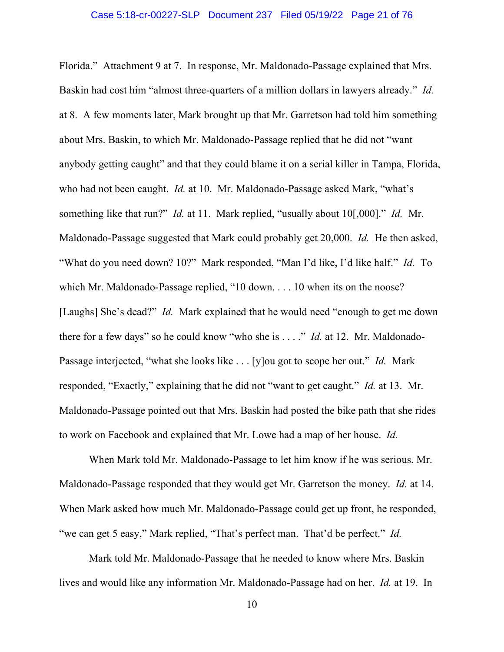Florida." Attachment 9 at 7. In response, Mr. Maldonado-Passage explained that Mrs. Baskin had cost him "almost three-quarters of a million dollars in lawyers already." *Id.* at 8. A few moments later, Mark brought up that Mr. Garretson had told him something about Mrs. Baskin, to which Mr. Maldonado-Passage replied that he did not "want anybody getting caught" and that they could blame it on a serial killer in Tampa, Florida, who had not been caught. *Id.* at 10. Mr. Maldonado-Passage asked Mark, "what's something like that run?" *Id.* at 11. Mark replied, "usually about 10[,000]." *Id.* Mr. Maldonado-Passage suggested that Mark could probably get 20,000. *Id.* He then asked, "What do you need down? 10?" Mark responded, "Man I'd like, I'd like half." *Id.* To which Mr. Maldonado-Passage replied, "10 down. . . . 10 when its on the noose? [Laughs] She's dead?" *Id.* Mark explained that he would need "enough to get me down there for a few days" so he could know "who she is . . . ." *Id.* at 12. Mr. Maldonado-Passage interjected, "what she looks like . . . [y]ou got to scope her out." *Id.* Mark responded, "Exactly," explaining that he did not "want to get caught." *Id.* at 13. Mr. Maldonado-Passage pointed out that Mrs. Baskin had posted the bike path that she rides to work on Facebook and explained that Mr. Lowe had a map of her house. *Id.*

When Mark told Mr. Maldonado-Passage to let him know if he was serious, Mr. Maldonado-Passage responded that they would get Mr. Garretson the money. *Id.* at 14. When Mark asked how much Mr. Maldonado-Passage could get up front, he responded, "we can get 5 easy," Mark replied, "That's perfect man. That'd be perfect." *Id.*

Mark told Mr. Maldonado-Passage that he needed to know where Mrs. Baskin lives and would like any information Mr. Maldonado-Passage had on her. *Id.* at 19. In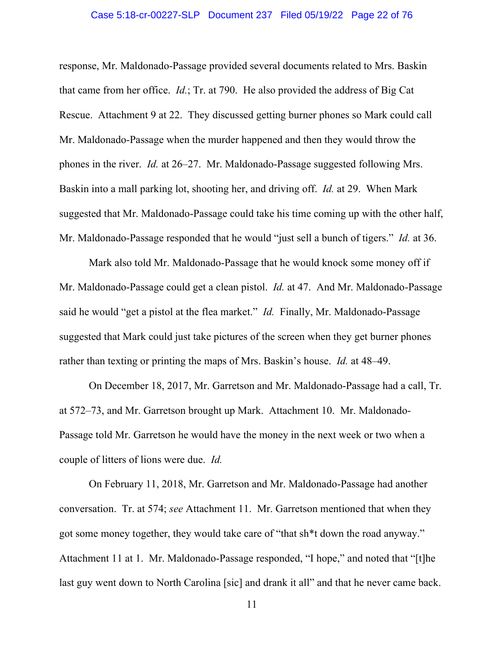#### Case 5:18-cr-00227-SLP Document 237 Filed 05/19/22 Page 22 of 76

response, Mr. Maldonado-Passage provided several documents related to Mrs. Baskin that came from her office. *Id.*; Tr. at 790. He also provided the address of Big Cat Rescue. Attachment 9 at 22. They discussed getting burner phones so Mark could call Mr. Maldonado-Passage when the murder happened and then they would throw the phones in the river. *Id.* at 26–27. Mr. Maldonado-Passage suggested following Mrs. Baskin into a mall parking lot, shooting her, and driving off. *Id.* at 29. When Mark suggested that Mr. Maldonado-Passage could take his time coming up with the other half, Mr. Maldonado-Passage responded that he would "just sell a bunch of tigers." *Id.* at 36.

Mark also told Mr. Maldonado-Passage that he would knock some money off if Mr. Maldonado-Passage could get a clean pistol. *Id.* at 47. And Mr. Maldonado-Passage said he would "get a pistol at the flea market." *Id.* Finally, Mr. Maldonado-Passage suggested that Mark could just take pictures of the screen when they get burner phones rather than texting or printing the maps of Mrs. Baskin's house. *Id.* at 48–49.

On December 18, 2017, Mr. Garretson and Mr. Maldonado-Passage had a call, Tr. at 572–73, and Mr. Garretson brought up Mark. Attachment 10. Mr. Maldonado-Passage told Mr. Garretson he would have the money in the next week or two when a couple of litters of lions were due. *Id.*

On February 11, 2018, Mr. Garretson and Mr. Maldonado-Passage had another conversation. Tr. at 574; *see* Attachment 11. Mr. Garretson mentioned that when they got some money together, they would take care of "that sh\*t down the road anyway." Attachment 11 at 1. Mr. Maldonado-Passage responded, "I hope," and noted that "[t]he last guy went down to North Carolina [sic] and drank it all" and that he never came back.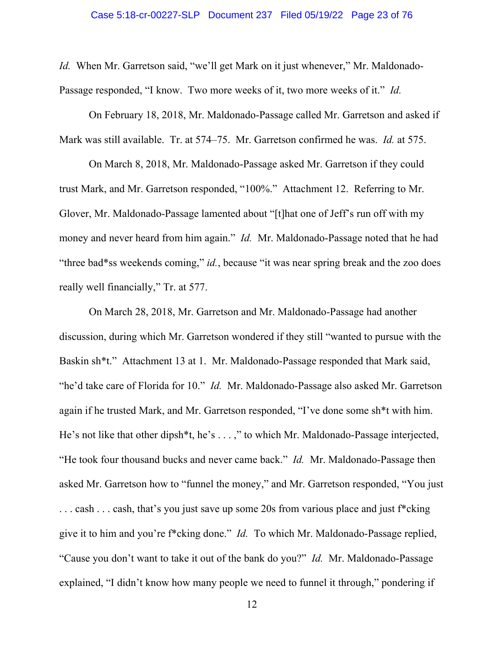*Id.* When Mr. Garretson said, "we'll get Mark on it just whenever," Mr. Maldonado-Passage responded, "I know. Two more weeks of it, two more weeks of it." *Id.*

On February 18, 2018, Mr. Maldonado-Passage called Mr. Garretson and asked if Mark was still available. Tr. at 574–75. Mr. Garretson confirmed he was. *Id.* at 575.

On March 8, 2018, Mr. Maldonado-Passage asked Mr. Garretson if they could trust Mark, and Mr. Garretson responded, "100%." Attachment 12. Referring to Mr. Glover, Mr. Maldonado-Passage lamented about "[t]hat one of Jeff's run off with my money and never heard from him again." *Id.* Mr. Maldonado-Passage noted that he had "three bad\*ss weekends coming," *id.*, because "it was near spring break and the zoo does really well financially," Tr. at 577.

On March 28, 2018, Mr. Garretson and Mr. Maldonado-Passage had another discussion, during which Mr. Garretson wondered if they still "wanted to pursue with the Baskin sh\*t." Attachment 13 at 1. Mr. Maldonado-Passage responded that Mark said, "he'd take care of Florida for 10." *Id.* Mr. Maldonado-Passage also asked Mr. Garretson again if he trusted Mark, and Mr. Garretson responded, "I've done some sh\*t with him. He's not like that other dipsh\*t, he's . . . ," to which Mr. Maldonado-Passage interjected, "He took four thousand bucks and never came back." *Id.* Mr. Maldonado-Passage then asked Mr. Garretson how to "funnel the money," and Mr. Garretson responded, "You just ... cash ... cash, that's you just save up some 20s from various place and just f\*cking give it to him and you're f\*cking done." *Id.* To which Mr. Maldonado-Passage replied, "Cause you don't want to take it out of the bank do you?" *Id.* Mr. Maldonado-Passage explained, "I didn't know how many people we need to funnel it through," pondering if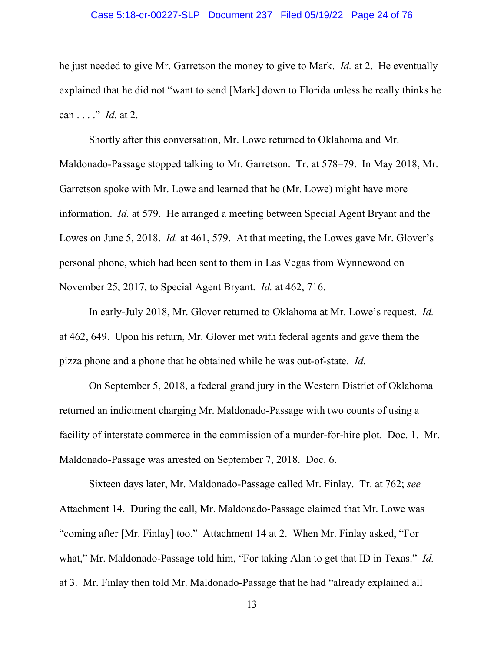#### Case 5:18-cr-00227-SLP Document 237 Filed 05/19/22 Page 24 of 76

he just needed to give Mr. Garretson the money to give to Mark. *Id.* at 2. He eventually explained that he did not "want to send [Mark] down to Florida unless he really thinks he can . . . ." *Id.* at 2.

Shortly after this conversation, Mr. Lowe returned to Oklahoma and Mr. Maldonado-Passage stopped talking to Mr. Garretson. Tr. at 578–79. In May 2018, Mr. Garretson spoke with Mr. Lowe and learned that he (Mr. Lowe) might have more information. *Id.* at 579. He arranged a meeting between Special Agent Bryant and the Lowes on June 5, 2018. *Id.* at 461, 579. At that meeting, the Lowes gave Mr. Glover's personal phone, which had been sent to them in Las Vegas from Wynnewood on November 25, 2017, to Special Agent Bryant. *Id.* at 462, 716.

In early-July 2018, Mr. Glover returned to Oklahoma at Mr. Lowe's request. *Id.* at 462, 649. Upon his return, Mr. Glover met with federal agents and gave them the pizza phone and a phone that he obtained while he was out-of-state. *Id.*

On September 5, 2018, a federal grand jury in the Western District of Oklahoma returned an indictment charging Mr. Maldonado-Passage with two counts of using a facility of interstate commerce in the commission of a murder-for-hire plot. Doc. 1. Mr. Maldonado-Passage was arrested on September 7, 2018. Doc. 6.

Sixteen days later, Mr. Maldonado-Passage called Mr. Finlay. Tr. at 762; *see* Attachment 14. During the call, Mr. Maldonado-Passage claimed that Mr. Lowe was "coming after [Mr. Finlay] too." Attachment 14 at 2. When Mr. Finlay asked, "For what," Mr. Maldonado-Passage told him, "For taking Alan to get that ID in Texas." *Id.* at 3. Mr. Finlay then told Mr. Maldonado-Passage that he had "already explained all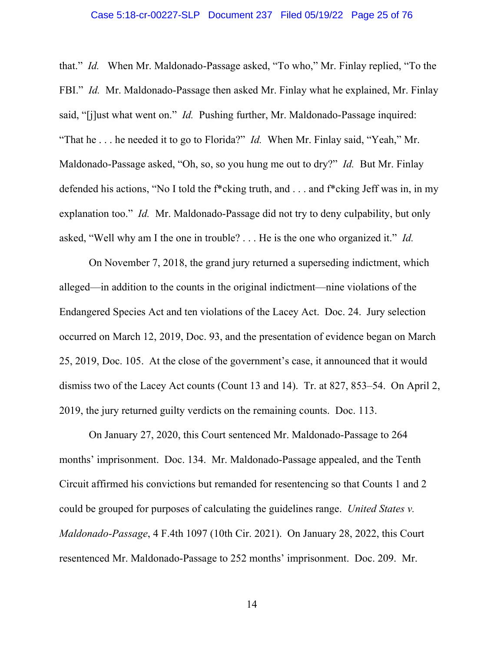#### Case 5:18-cr-00227-SLP Document 237 Filed 05/19/22 Page 25 of 76

that." *Id.* When Mr. Maldonado-Passage asked, "To who," Mr. Finlay replied, "To the FBI." *Id.* Mr. Maldonado-Passage then asked Mr. Finlay what he explained, Mr. Finlay said, "[j]ust what went on." *Id.* Pushing further, Mr. Maldonado-Passage inquired: "That he . . . he needed it to go to Florida?" *Id.* When Mr. Finlay said, "Yeah," Mr. Maldonado-Passage asked, "Oh, so, so you hung me out to dry?" *Id.* But Mr. Finlay defended his actions, "No I told the f\*cking truth, and . . . and f\*cking Jeff was in, in my explanation too." *Id.* Mr. Maldonado-Passage did not try to deny culpability, but only asked, "Well why am I the one in trouble? . . . He is the one who organized it." *Id.*

On November 7, 2018, the grand jury returned a superseding indictment, which alleged—in addition to the counts in the original indictment—nine violations of the Endangered Species Act and ten violations of the Lacey Act. Doc. 24. Jury selection occurred on March 12, 2019, Doc. 93, and the presentation of evidence began on March 25, 2019, Doc. 105. At the close of the government's case, it announced that it would dismiss two of the Lacey Act counts (Count 13 and 14). Tr. at 827, 853–54. On April 2, 2019, the jury returned guilty verdicts on the remaining counts. Doc. 113.

<span id="page-24-0"></span>On January 27, 2020, this Court sentenced Mr. Maldonado-Passage to 264 months' imprisonment. Doc. 134. Mr. Maldonado-Passage appealed, and the Tenth Circuit affirmed his convictions but remanded for resentencing so that Counts 1 and 2 could be grouped for purposes of calculating the guidelines range. *United States v. Maldonado-Passage*, 4 F.4th 1097 (10th Cir. 2021). On January 28, 2022, this Court resentenced Mr. Maldonado-Passage to 252 months' imprisonment. Doc. 209. Mr.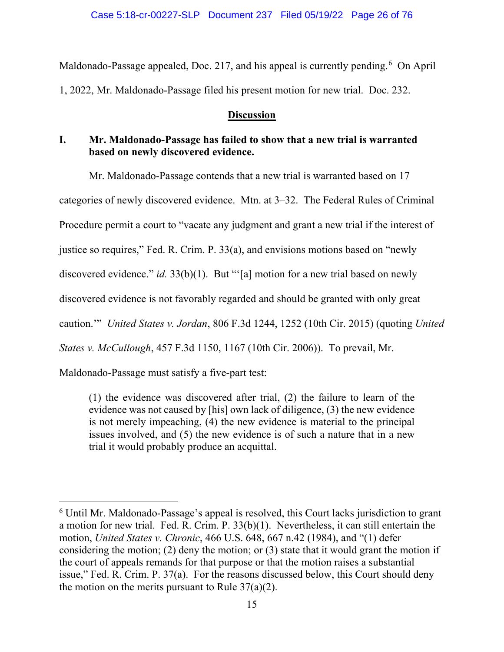Maldonado-Passage appealed, Doc. 217, and his appeal is currently pending.<sup>[6](#page-25-7)</sup> On April 1, 2022, Mr. Maldonado-Passage filed his present motion for new trial. Doc. 232.

### <span id="page-25-3"></span>**Discussion**

## <span id="page-25-1"></span><span id="page-25-0"></span>**I. Mr. Maldonado-Passage has failed to show that a new trial is warranted based on newly discovered evidence.**

<span id="page-25-4"></span> Mr. Maldonado-Passage contends that a new trial is warranted based on 17 categories of newly discovered evidence. Mtn. at 3–32. The Federal Rules of Criminal Procedure permit a court to "vacate any judgment and grant a new trial if the interest of justice so requires," Fed. R. Crim. P. 33(a), and envisions motions based on "newly discovered evidence." *id.* 33(b)(1). But "'[a] motion for a new trial based on newly discovered evidence is not favorably regarded and should be granted with only great caution.'" *United States v. Jordan*, 806 F.3d 1244, 1252 (10th Cir. 2015) (quoting *United States v. McCullough*, 457 F.3d 1150, 1167 (10th Cir. 2006)). To prevail, Mr.

Maldonado-Passage must satisfy a five-part test:

(1) the evidence was discovered after trial, (2) the failure to learn of the evidence was not caused by [his] own lack of diligence, (3) the new evidence is not merely impeaching, (4) the new evidence is material to the principal issues involved, and (5) the new evidence is of such a nature that in a new trial it would probably produce an acquittal.

<span id="page-25-7"></span><span id="page-25-6"></span><span id="page-25-5"></span><span id="page-25-2"></span><sup>&</sup>lt;sup>6</sup> Until Mr. Maldonado-Passage's appeal is resolved, this Court lacks jurisdiction to grant a motion for new trial. Fed. R. Crim. P. 33(b)(1). Nevertheless, it can still entertain the motion, *United States v. Chronic*, 466 U.S. 648, 667 n.42 (1984), and "(1) defer considering the motion; (2) deny the motion; or (3) state that it would grant the motion if the court of appeals remands for that purpose or that the motion raises a substantial issue," Fed. R. Crim. P. 37(a). For the reasons discussed below, this Court should deny the motion on the merits pursuant to Rule  $37(a)(2)$ .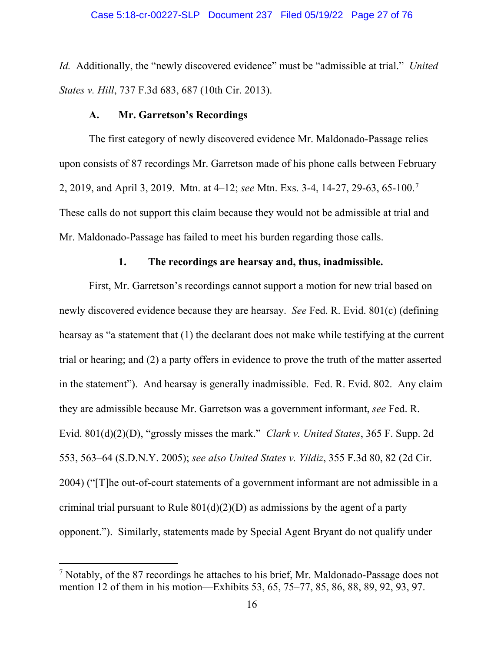*Id.* Additionally, the "newly discovered evidence" must be "admissible at trial." *United States v. Hill*, 737 F.3d 683, 687 (10th Cir. 2013).

#### **A. Mr. Garretson's Recordings**

<span id="page-26-0"></span>The first category of newly discovered evidence Mr. Maldonado-Passage relies upon consists of 87 recordings Mr. Garretson made of his phone calls between February 2, 2019, and April 3, 2019. Mtn. at 4–12; *see* Mtn. Exs. 3-4, 14-27, 29-63, 65-100.[7](#page-26-7) These calls do not support this claim because they would not be admissible at trial and Mr. Maldonado-Passage has failed to meet his burden regarding those calls.

#### <span id="page-26-6"></span><span id="page-26-5"></span><span id="page-26-4"></span><span id="page-26-2"></span>**1. The recordings are hearsay and, thus, inadmissible.**

<span id="page-26-1"></span>First, Mr. Garretson's recordings cannot support a motion for new trial based on newly discovered evidence because they are hearsay. *See* Fed. R. Evid. 801(c) (defining hearsay as "a statement that (1) the declarant does not make while testifying at the current trial or hearing; and (2) a party offers in evidence to prove the truth of the matter asserted in the statement"). And hearsay is generally inadmissible. Fed. R. Evid. 802. Any claim they are admissible because Mr. Garretson was a government informant, *see* Fed. R. Evid. 801(d)(2)(D), "grossly misses the mark." *Clark v. United States*, 365 F. Supp. 2d 553, 563–64 (S.D.N.Y. 2005); *see also United States v. Yildiz*, 355 F.3d 80, 82 (2d Cir. 2004) ("[T]he out-of-court statements of a government informant are not admissible in a criminal trial pursuant to Rule  $801(d)(2)(D)$  as admissions by the agent of a party opponent."). Similarly, statements made by Special Agent Bryant do not qualify under

<span id="page-26-7"></span><span id="page-26-3"></span> $7$  Notably, of the 87 recordings he attaches to his brief, Mr. Maldonado-Passage does not mention 12 of them in his motion—Exhibits 53, 65, 75–77, 85, 86, 88, 89, 92, 93, 97.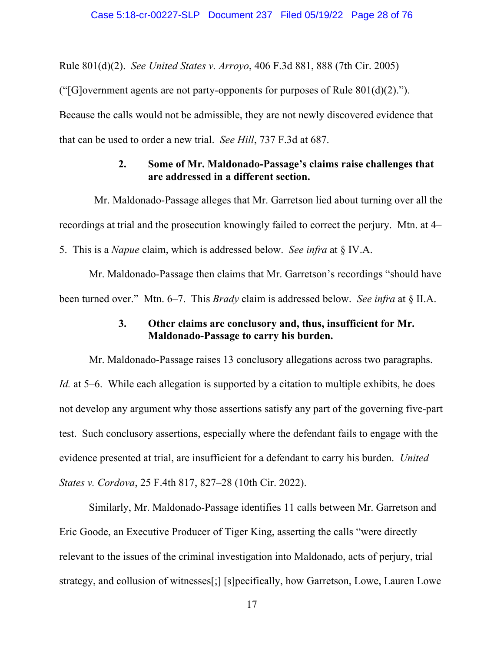<span id="page-27-2"></span>Rule 801(d)(2). *See United States v. Arroyo*, 406 F.3d 881, 888 (7th Cir. 2005)

("[G]overnment agents are not party-opponents for purposes of Rule  $801(d)(2)$ .").

Because the calls would not be admissible, they are not newly discovered evidence that

<span id="page-27-0"></span>that can be used to order a new trial. *See Hill*, 737 F.3d at 687.

## **2. Some of Mr. Maldonado-Passage's claims raise challenges that are addressed in a different section.**

 Mr. Maldonado-Passage alleges that Mr. Garretson lied about turning over all the recordings at trial and the prosecution knowingly failed to correct the perjury. Mtn. at 4– 5. This is a *Napue* claim, which is addressed below. *See infra* at § IV.A.

Mr. Maldonado-Passage then claims that Mr. Garretson's recordings "should have been turned over." Mtn. 6–7. This *Brady* claim is addressed below. *See infra* at § II.A.

### **3. Other claims are conclusory and, thus, insufficient for Mr. Maldonado-Passage to carry his burden.**

<span id="page-27-1"></span>Mr. Maldonado-Passage raises 13 conclusory allegations across two paragraphs. *Id.* at 5–6. While each allegation is supported by a citation to multiple exhibits, he does not develop any argument why those assertions satisfy any part of the governing five-part test. Such conclusory assertions, especially where the defendant fails to engage with the evidence presented at trial, are insufficient for a defendant to carry his burden. *United States v. Cordova*, 25 F.4th 817, 827–28 (10th Cir. 2022).

Similarly, Mr. Maldonado-Passage identifies 11 calls between Mr. Garretson and Eric Goode, an Executive Producer of Tiger King, asserting the calls "were directly relevant to the issues of the criminal investigation into Maldonado, acts of perjury, trial strategy, and collusion of witnesses[;] [s]pecifically, how Garretson, Lowe, Lauren Lowe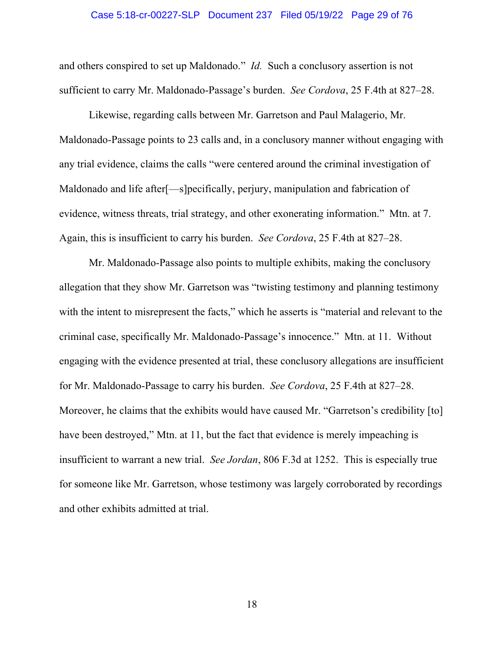#### Case 5:18-cr-00227-SLP Document 237 Filed 05/19/22 Page 29 of 76

and others conspired to set up Maldonado." *Id.* Such a conclusory assertion is not sufficient to carry Mr. Maldonado-Passage's burden. *See Cordova*, 25 F.4th at 827–28.

Likewise, regarding calls between Mr. Garretson and Paul Malagerio, Mr. Maldonado-Passage points to 23 calls and, in a conclusory manner without engaging with any trial evidence, claims the calls "were centered around the criminal investigation of Maldonado and life after[—s]pecifically, perjury, manipulation and fabrication of evidence, witness threats, trial strategy, and other exonerating information." Mtn. at 7. Again, this is insufficient to carry his burden. *See Cordova*, 25 F.4th at 827–28.

Mr. Maldonado-Passage also points to multiple exhibits, making the conclusory allegation that they show Mr. Garretson was "twisting testimony and planning testimony with the intent to misrepresent the facts," which he asserts is "material and relevant to the criminal case, specifically Mr. Maldonado-Passage's innocence." Mtn. at 11. Without engaging with the evidence presented at trial, these conclusory allegations are insufficient for Mr. Maldonado-Passage to carry his burden. *See Cordova*, 25 F.4th at 827–28. Moreover, he claims that the exhibits would have caused Mr. "Garretson's credibility [to] have been destroyed," Mtn. at 11, but the fact that evidence is merely impeaching is insufficient to warrant a new trial. *See Jordan*, 806 F.3d at 1252. This is especially true for someone like Mr. Garretson, whose testimony was largely corroborated by recordings and other exhibits admitted at trial.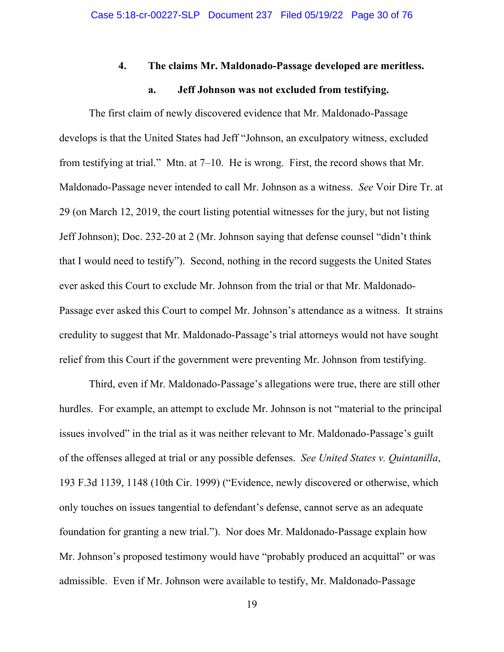#### **4. The claims Mr. Maldonado-Passage developed are meritless.**

#### **a. Jeff Johnson was not excluded from testifying.**

<span id="page-29-1"></span><span id="page-29-0"></span>The first claim of newly discovered evidence that Mr. Maldonado-Passage develops is that the United States had Jeff "Johnson, an exculpatory witness, excluded from testifying at trial." Mtn. at 7–10. He is wrong. First, the record shows that Mr. Maldonado-Passage never intended to call Mr. Johnson as a witness. *See* Voir Dire Tr. at 29 (on March 12, 2019, the court listing potential witnesses for the jury, but not listing Jeff Johnson); Doc. 232-20 at 2 (Mr. Johnson saying that defense counsel "didn't think that I would need to testify"). Second, nothing in the record suggests the United States ever asked this Court to exclude Mr. Johnson from the trial or that Mr. Maldonado-Passage ever asked this Court to compel Mr. Johnson's attendance as a witness. It strains credulity to suggest that Mr. Maldonado-Passage's trial attorneys would not have sought relief from this Court if the government were preventing Mr. Johnson from testifying.

<span id="page-29-2"></span>Third, even if Mr. Maldonado-Passage's allegations were true, there are still other hurdles. For example, an attempt to exclude Mr. Johnson is not "material to the principal issues involved" in the trial as it was neither relevant to Mr. Maldonado-Passage's guilt of the offenses alleged at trial or any possible defenses. *See United States v. Quintanilla*, 193 F.3d 1139, 1148 (10th Cir. 1999) ("Evidence, newly discovered or otherwise, which only touches on issues tangential to defendant's defense, cannot serve as an adequate foundation for granting a new trial."). Nor does Mr. Maldonado-Passage explain how Mr. Johnson's proposed testimony would have "probably produced an acquittal" or was admissible. Even if Mr. Johnson were available to testify, Mr. Maldonado-Passage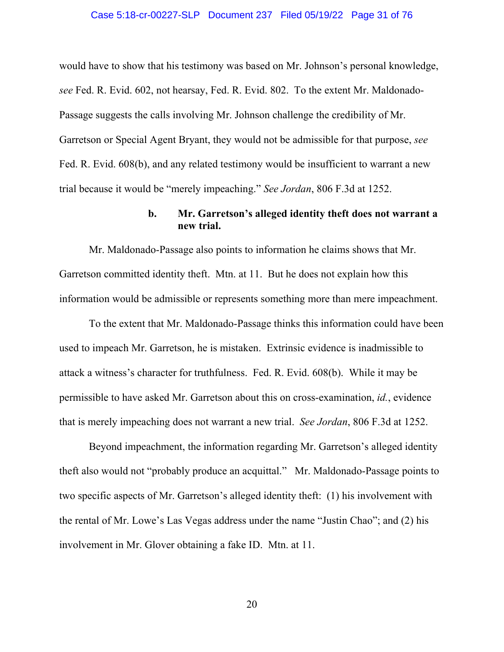#### <span id="page-30-3"></span>Case 5:18-cr-00227-SLP Document 237 Filed 05/19/22 Page 31 of 76

<span id="page-30-1"></span>would have to show that his testimony was based on Mr. Johnson's personal knowledge, *see* Fed. R. Evid. 602, not hearsay, Fed. R. Evid. 802. To the extent Mr. Maldonado-Passage suggests the calls involving Mr. Johnson challenge the credibility of Mr. Garretson or Special Agent Bryant, they would not be admissible for that purpose, *see*  Fed. R. Evid. 608(b), and any related testimony would be insufficient to warrant a new trial because it would be "merely impeaching." *See Jordan*, 806 F.3d at 1252.

### <span id="page-30-2"></span>**b. Mr. Garretson's alleged identity theft does not warrant a new trial.**

<span id="page-30-0"></span>Mr. Maldonado-Passage also points to information he claims shows that Mr. Garretson committed identity theft. Mtn. at 11. But he does not explain how this information would be admissible or represents something more than mere impeachment.

To the extent that Mr. Maldonado-Passage thinks this information could have been used to impeach Mr. Garretson, he is mistaken. Extrinsic evidence is inadmissible to attack a witness's character for truthfulness. Fed. R. Evid. 608(b). While it may be permissible to have asked Mr. Garretson about this on cross-examination, *id.*, evidence that is merely impeaching does not warrant a new trial. *See Jordan*, 806 F.3d at 1252.

Beyond impeachment, the information regarding Mr. Garretson's alleged identity theft also would not "probably produce an acquittal." Mr. Maldonado-Passage points to two specific aspects of Mr. Garretson's alleged identity theft: (1) his involvement with the rental of Mr. Lowe's Las Vegas address under the name "Justin Chao"; and (2) his involvement in Mr. Glover obtaining a fake ID. Mtn. at 11.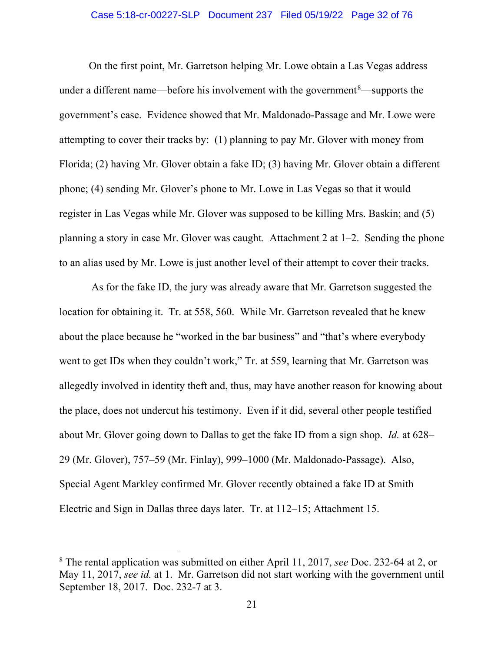#### Case 5:18-cr-00227-SLP Document 237 Filed 05/19/22 Page 32 of 76

On the first point, Mr. Garretson helping Mr. Lowe obtain a Las Vegas address under a different name—before his involvement with the government $\delta$ —supports the government's case. Evidence showed that Mr. Maldonado-Passage and Mr. Lowe were attempting to cover their tracks by: (1) planning to pay Mr. Glover with money from Florida; (2) having Mr. Glover obtain a fake ID; (3) having Mr. Glover obtain a different phone; (4) sending Mr. Glover's phone to Mr. Lowe in Las Vegas so that it would register in Las Vegas while Mr. Glover was supposed to be killing Mrs. Baskin; and (5) planning a story in case Mr. Glover was caught. Attachment 2 at 1–2. Sending the phone to an alias used by Mr. Lowe is just another level of their attempt to cover their tracks.

As for the fake ID, the jury was already aware that Mr. Garretson suggested the location for obtaining it. Tr. at 558, 560. While Mr. Garretson revealed that he knew about the place because he "worked in the bar business" and "that's where everybody went to get IDs when they couldn't work," Tr. at 559, learning that Mr. Garretson was allegedly involved in identity theft and, thus, may have another reason for knowing about the place, does not undercut his testimony. Even if it did, several other people testified about Mr. Glover going down to Dallas to get the fake ID from a sign shop. *Id.* at 628– 29 (Mr. Glover), 757–59 (Mr. Finlay), 999–1000 (Mr. Maldonado-Passage). Also, Special Agent Markley confirmed Mr. Glover recently obtained a fake ID at Smith Electric and Sign in Dallas three days later. Tr. at 112–15; Attachment 15.

<span id="page-31-0"></span><sup>8</sup> The rental application was submitted on either April 11, 2017, *see* Doc. 232-64 at 2, or May 11, 2017, *see id.* at 1. Mr. Garretson did not start working with the government until September 18, 2017. Doc. 232-7 at 3.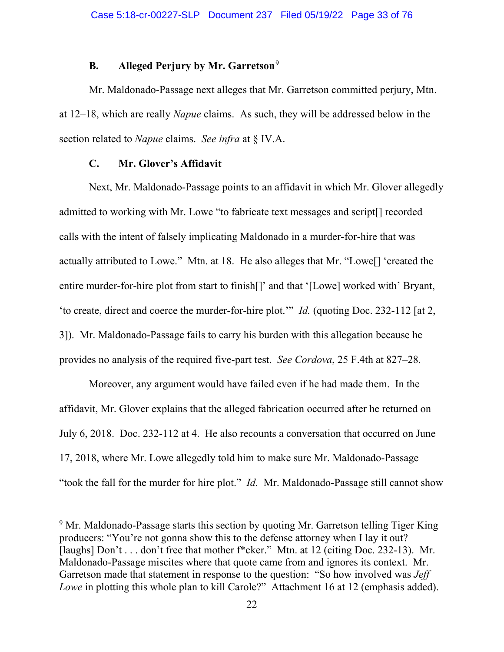## **B. Alleged Perjury by Mr. Garretson**[9](#page-32-2)

<span id="page-32-0"></span>Mr. Maldonado-Passage next alleges that Mr. Garretson committed perjury, Mtn. at 12–18, which are really *Napue* claims. As such, they will be addressed below in the section related to *Napue* claims. *See infra* at § IV.A.

### **C. Mr. Glover's Affidavit**

<span id="page-32-1"></span>Next, Mr. Maldonado-Passage points to an affidavit in which Mr. Glover allegedly admitted to working with Mr. Lowe "to fabricate text messages and script[] recorded calls with the intent of falsely implicating Maldonado in a murder-for-hire that was actually attributed to Lowe." Mtn. at 18. He also alleges that Mr. "Lowe[] 'created the entire murder-for-hire plot from start to finish[]' and that '[Lowe] worked with' Bryant, 'to create, direct and coerce the murder-for-hire plot.'" *Id.* (quoting Doc. 232-112 [at 2, 3]). Mr. Maldonado-Passage fails to carry his burden with this allegation because he provides no analysis of the required five-part test. *See Cordova*, 25 F.4th at 827–28.

Moreover, any argument would have failed even if he had made them. In the affidavit, Mr. Glover explains that the alleged fabrication occurred after he returned on July 6, 2018. Doc. 232-112 at 4. He also recounts a conversation that occurred on June 17, 2018, where Mr. Lowe allegedly told him to make sure Mr. Maldonado-Passage "took the fall for the murder for hire plot." *Id.* Mr. Maldonado-Passage still cannot show

<span id="page-32-2"></span><sup>&</sup>lt;sup>9</sup> Mr. Maldonado-Passage starts this section by quoting Mr. Garretson telling Tiger King producers: "You're not gonna show this to the defense attorney when I lay it out? [laughs] Don't . . . don't free that mother f\*cker." Mtn. at 12 (citing Doc. 232-13). Mr. Maldonado-Passage miscites where that quote came from and ignores its context. Mr. Garretson made that statement in response to the question: "So how involved was *Jeff Lowe* in plotting this whole plan to kill Carole?" Attachment 16 at 12 (emphasis added).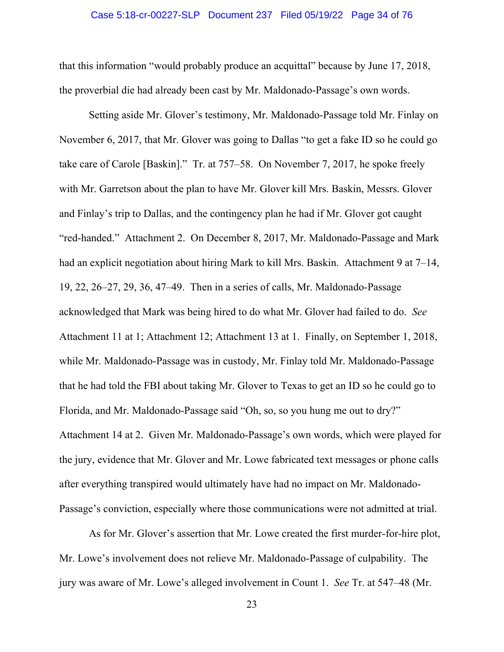#### Case 5:18-cr-00227-SLP Document 237 Filed 05/19/22 Page 34 of 76

that this information "would probably produce an acquittal" because by June 17, 2018, the proverbial die had already been cast by Mr. Maldonado-Passage's own words.

Setting aside Mr. Glover's testimony, Mr. Maldonado-Passage told Mr. Finlay on November 6, 2017, that Mr. Glover was going to Dallas "to get a fake ID so he could go take care of Carole [Baskin]." Tr. at 757–58. On November 7, 2017, he spoke freely with Mr. Garretson about the plan to have Mr. Glover kill Mrs. Baskin, Messrs. Glover and Finlay's trip to Dallas, and the contingency plan he had if Mr. Glover got caught "red-handed." Attachment 2. On December 8, 2017, Mr. Maldonado-Passage and Mark had an explicit negotiation about hiring Mark to kill Mrs. Baskin. Attachment 9 at 7–14, 19, 22, 26–27, 29, 36, 47–49. Then in a series of calls, Mr. Maldonado-Passage acknowledged that Mark was being hired to do what Mr. Glover had failed to do. *See* Attachment 11 at 1; Attachment 12; Attachment 13 at 1. Finally, on September 1, 2018, while Mr. Maldonado-Passage was in custody, Mr. Finlay told Mr. Maldonado-Passage that he had told the FBI about taking Mr. Glover to Texas to get an ID so he could go to Florida, and Mr. Maldonado-Passage said "Oh, so, so you hung me out to dry?" Attachment 14 at 2. Given Mr. Maldonado-Passage's own words, which were played for the jury, evidence that Mr. Glover and Mr. Lowe fabricated text messages or phone calls after everything transpired would ultimately have had no impact on Mr. Maldonado-Passage's conviction, especially where those communications were not admitted at trial.

As for Mr. Glover's assertion that Mr. Lowe created the first murder-for-hire plot, Mr. Lowe's involvement does not relieve Mr. Maldonado-Passage of culpability. The jury was aware of Mr. Lowe's alleged involvement in Count 1. *See* Tr. at 547–48 (Mr.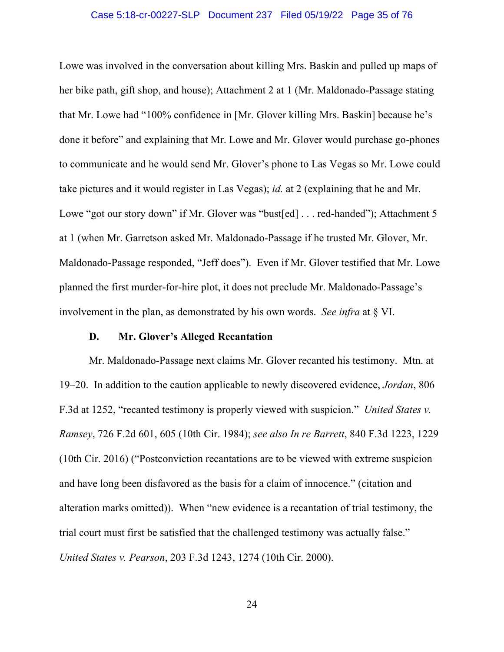#### Case 5:18-cr-00227-SLP Document 237 Filed 05/19/22 Page 35 of 76

Lowe was involved in the conversation about killing Mrs. Baskin and pulled up maps of her bike path, gift shop, and house); Attachment 2 at 1 (Mr. Maldonado-Passage stating that Mr. Lowe had "100% confidence in [Mr. Glover killing Mrs. Baskin] because he's done it before" and explaining that Mr. Lowe and Mr. Glover would purchase go-phones to communicate and he would send Mr. Glover's phone to Las Vegas so Mr. Lowe could take pictures and it would register in Las Vegas); *id.* at 2 (explaining that he and Mr. Lowe "got our story down" if Mr. Glover was "bust[ed] . . . red-handed"); Attachment 5 at 1 (when Mr. Garretson asked Mr. Maldonado-Passage if he trusted Mr. Glover, Mr. Maldonado-Passage responded, "Jeff does"). Even if Mr. Glover testified that Mr. Lowe planned the first murder-for-hire plot, it does not preclude Mr. Maldonado-Passage's involvement in the plan, as demonstrated by his own words. *See infra* at § VI.

#### <span id="page-34-3"></span><span id="page-34-1"></span>**D. Mr. Glover's Alleged Recantation**

<span id="page-34-2"></span><span id="page-34-0"></span>Mr. Maldonado-Passage next claims Mr. Glover recanted his testimony. Mtn. at 19–20. In addition to the caution applicable to newly discovered evidence, *Jordan*, 806 F.3d at 1252, "recanted testimony is properly viewed with suspicion." *United States v. Ramsey*, 726 F.2d 601, 605 (10th Cir. 1984); *see also In re Barrett*, 840 F.3d 1223, 1229 (10th Cir. 2016) ("Postconviction recantations are to be viewed with extreme suspicion and have long been disfavored as the basis for a claim of innocence." (citation and alteration marks omitted)). When "new evidence is a recantation of trial testimony, the trial court must first be satisfied that the challenged testimony was actually false." *United States v. Pearson*, 203 F.3d 1243, 1274 (10th Cir. 2000).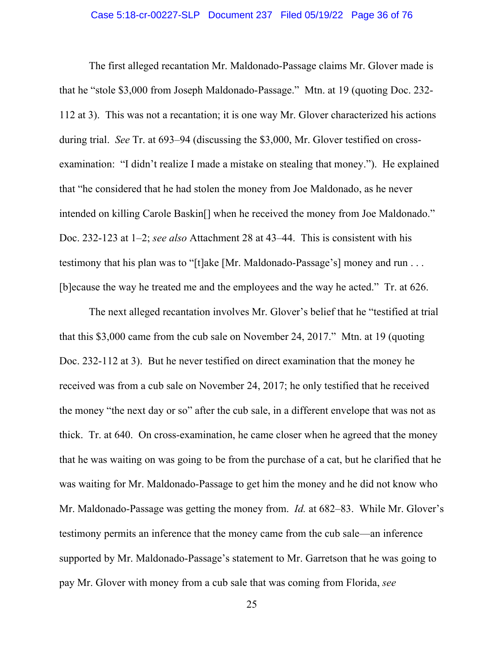#### Case 5:18-cr-00227-SLP Document 237 Filed 05/19/22 Page 36 of 76

The first alleged recantation Mr. Maldonado-Passage claims Mr. Glover made is that he "stole \$3,000 from Joseph Maldonado-Passage." Mtn. at 19 (quoting Doc. 232- 112 at 3). This was not a recantation; it is one way Mr. Glover characterized his actions during trial. *See* Tr. at 693–94 (discussing the \$3,000, Mr. Glover testified on crossexamination: "I didn't realize I made a mistake on stealing that money."). He explained that "he considered that he had stolen the money from Joe Maldonado, as he never intended on killing Carole Baskin[] when he received the money from Joe Maldonado." Doc. 232-123 at 1–2; *see also* Attachment 28 at 43–44. This is consistent with his testimony that his plan was to "[t]ake [Mr. Maldonado-Passage's] money and run . . . [b]ecause the way he treated me and the employees and the way he acted." Tr. at 626.

The next alleged recantation involves Mr. Glover's belief that he "testified at trial that this \$3,000 came from the cub sale on November 24, 2017." Mtn. at 19 (quoting Doc. 232-112 at 3). But he never testified on direct examination that the money he received was from a cub sale on November 24, 2017; he only testified that he received the money "the next day or so" after the cub sale, in a different envelope that was not as thick. Tr. at 640. On cross-examination, he came closer when he agreed that the money that he was waiting on was going to be from the purchase of a cat, but he clarified that he was waiting for Mr. Maldonado-Passage to get him the money and he did not know who Mr. Maldonado-Passage was getting the money from. *Id.* at 682–83. While Mr. Glover's testimony permits an inference that the money came from the cub sale—an inference supported by Mr. Maldonado-Passage's statement to Mr. Garretson that he was going to pay Mr. Glover with money from a cub sale that was coming from Florida, *see*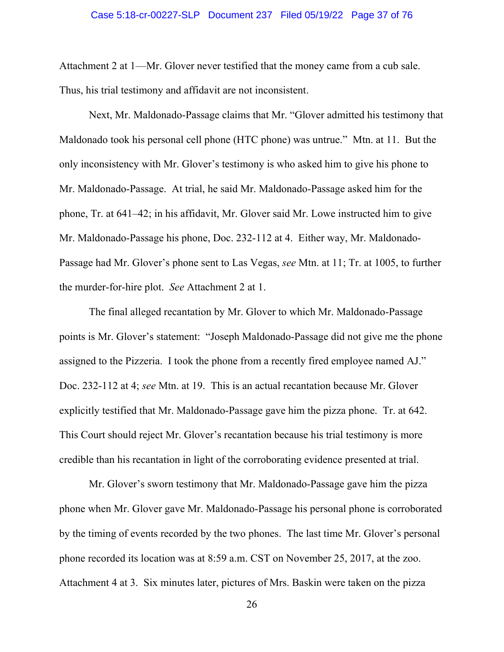Attachment 2 at 1—Mr. Glover never testified that the money came from a cub sale. Thus, his trial testimony and affidavit are not inconsistent.

Next, Mr. Maldonado-Passage claims that Mr. "Glover admitted his testimony that Maldonado took his personal cell phone (HTC phone) was untrue." Mtn. at 11. But the only inconsistency with Mr. Glover's testimony is who asked him to give his phone to Mr. Maldonado-Passage. At trial, he said Mr. Maldonado-Passage asked him for the phone, Tr. at 641–42; in his affidavit, Mr. Glover said Mr. Lowe instructed him to give Mr. Maldonado-Passage his phone, Doc. 232-112 at 4. Either way, Mr. Maldonado-Passage had Mr. Glover's phone sent to Las Vegas, *see* Mtn. at 11; Tr. at 1005, to further the murder-for-hire plot. *See* Attachment 2 at 1.

The final alleged recantation by Mr. Glover to which Mr. Maldonado-Passage points is Mr. Glover's statement: "Joseph Maldonado-Passage did not give me the phone assigned to the Pizzeria. I took the phone from a recently fired employee named AJ." Doc. 232-112 at 4; *see* Mtn. at 19. This is an actual recantation because Mr. Glover explicitly testified that Mr. Maldonado-Passage gave him the pizza phone. Tr. at 642. This Court should reject Mr. Glover's recantation because his trial testimony is more credible than his recantation in light of the corroborating evidence presented at trial.

Mr. Glover's sworn testimony that Mr. Maldonado-Passage gave him the pizza phone when Mr. Glover gave Mr. Maldonado-Passage his personal phone is corroborated by the timing of events recorded by the two phones. The last time Mr. Glover's personal phone recorded its location was at 8:59 a.m. CST on November 25, 2017, at the zoo. Attachment 4 at 3. Six minutes later, pictures of Mrs. Baskin were taken on the pizza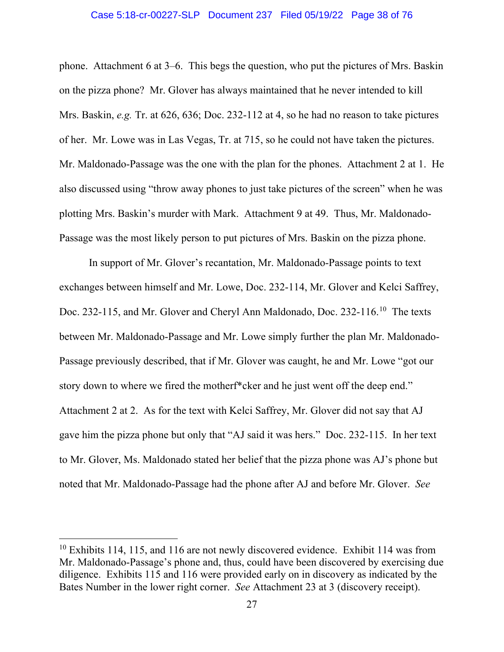#### Case 5:18-cr-00227-SLP Document 237 Filed 05/19/22 Page 38 of 76

phone. Attachment 6 at 3–6. This begs the question, who put the pictures of Mrs. Baskin on the pizza phone? Mr. Glover has always maintained that he never intended to kill Mrs. Baskin, *e.g.* Tr. at 626, 636; Doc. 232-112 at 4, so he had no reason to take pictures of her. Mr. Lowe was in Las Vegas, Tr. at 715, so he could not have taken the pictures. Mr. Maldonado-Passage was the one with the plan for the phones. Attachment 2 at 1. He also discussed using "throw away phones to just take pictures of the screen" when he was plotting Mrs. Baskin's murder with Mark. Attachment 9 at 49. Thus, Mr. Maldonado-Passage was the most likely person to put pictures of Mrs. Baskin on the pizza phone.

In support of Mr. Glover's recantation, Mr. Maldonado-Passage points to text exchanges between himself and Mr. Lowe, Doc. 232-114, Mr. Glover and Kelci Saffrey, Doc. 232-115, and Mr. Glover and Cheryl Ann Maldonado, Doc. 232-116.<sup>10</sup> The texts between Mr. Maldonado-Passage and Mr. Lowe simply further the plan Mr. Maldonado-Passage previously described, that if Mr. Glover was caught, he and Mr. Lowe "got our story down to where we fired the motherf\*cker and he just went off the deep end." Attachment 2 at 2. As for the text with Kelci Saffrey, Mr. Glover did not say that AJ gave him the pizza phone but only that "AJ said it was hers." Doc. 232-115. In her text to Mr. Glover, Ms. Maldonado stated her belief that the pizza phone was AJ's phone but noted that Mr. Maldonado-Passage had the phone after AJ and before Mr. Glover. *See*

<span id="page-37-0"></span> $10$  Exhibits 114, 115, and 116 are not newly discovered evidence. Exhibit 114 was from Mr. Maldonado-Passage's phone and, thus, could have been discovered by exercising due diligence. Exhibits 115 and 116 were provided early on in discovery as indicated by the Bates Number in the lower right corner. *See* Attachment 23 at 3 (discovery receipt).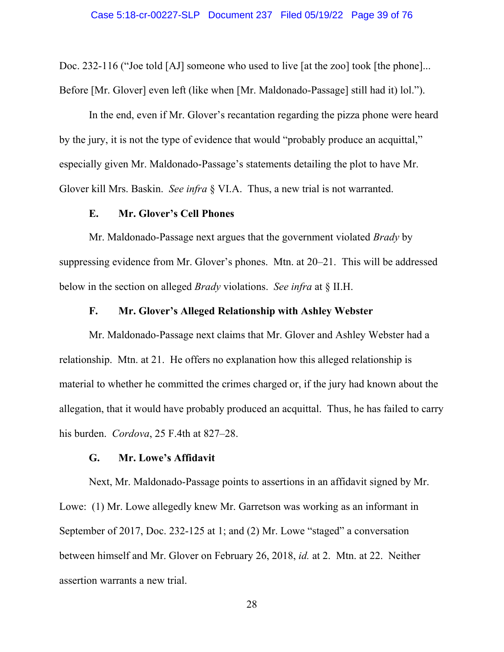Doc. 232-116 ("Joe told [AJ] someone who used to live [at the zoo] took [the phone]... Before [Mr. Glover] even left (like when [Mr. Maldonado-Passage] still had it) lol.").

In the end, even if Mr. Glover's recantation regarding the pizza phone were heard by the jury, it is not the type of evidence that would "probably produce an acquittal," especially given Mr. Maldonado-Passage's statements detailing the plot to have Mr. Glover kill Mrs. Baskin. *See infra* § VI.A. Thus, a new trial is not warranted.

## **E. Mr. Glover's Cell Phones**

Mr. Maldonado-Passage next argues that the government violated *Brady* by suppressing evidence from Mr. Glover's phones. Mtn. at 20–21. This will be addressed below in the section on alleged *Brady* violations. *See infra* at § II.H.

## **F. Mr. Glover's Alleged Relationship with Ashley Webster**

Mr. Maldonado-Passage next claims that Mr. Glover and Ashley Webster had a relationship. Mtn. at 21. He offers no explanation how this alleged relationship is material to whether he committed the crimes charged or, if the jury had known about the allegation, that it would have probably produced an acquittal. Thus, he has failed to carry his burden. *Cordova*, 25 F.4th at 827–28.

## **G. Mr. Lowe's Affidavit**

Next, Mr. Maldonado-Passage points to assertions in an affidavit signed by Mr. Lowe: (1) Mr. Lowe allegedly knew Mr. Garretson was working as an informant in September of 2017, Doc. 232-125 at 1; and (2) Mr. Lowe "staged" a conversation between himself and Mr. Glover on February 26, 2018, *id.* at 2. Mtn. at 22. Neither assertion warrants a new trial.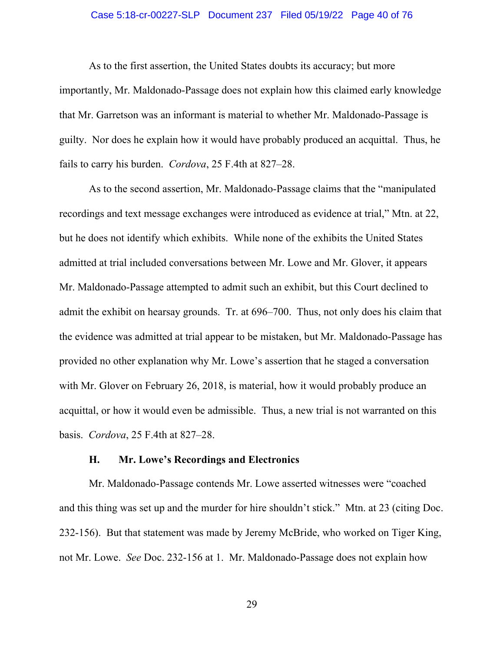## Case 5:18-cr-00227-SLP Document 237 Filed 05/19/22 Page 40 of 76

As to the first assertion, the United States doubts its accuracy; but more importantly, Mr. Maldonado-Passage does not explain how this claimed early knowledge that Mr. Garretson was an informant is material to whether Mr. Maldonado-Passage is guilty. Nor does he explain how it would have probably produced an acquittal. Thus, he fails to carry his burden. *Cordova*, 25 F.4th at 827–28.

As to the second assertion, Mr. Maldonado-Passage claims that the "manipulated recordings and text message exchanges were introduced as evidence at trial," Mtn. at 22, but he does not identify which exhibits. While none of the exhibits the United States admitted at trial included conversations between Mr. Lowe and Mr. Glover, it appears Mr. Maldonado-Passage attempted to admit such an exhibit, but this Court declined to admit the exhibit on hearsay grounds. Tr. at 696–700. Thus, not only does his claim that the evidence was admitted at trial appear to be mistaken, but Mr. Maldonado-Passage has provided no other explanation why Mr. Lowe's assertion that he staged a conversation with Mr. Glover on February 26, 2018, is material, how it would probably produce an acquittal, or how it would even be admissible. Thus, a new trial is not warranted on this basis. *Cordova*, 25 F.4th at 827–28.

## **H. Mr. Lowe's Recordings and Electronics**

Mr. Maldonado-Passage contends Mr. Lowe asserted witnesses were "coached and this thing was set up and the murder for hire shouldn't stick." Mtn. at 23 (citing Doc. 232-156). But that statement was made by Jeremy McBride, who worked on Tiger King, not Mr. Lowe. *See* Doc. 232-156 at 1. Mr. Maldonado-Passage does not explain how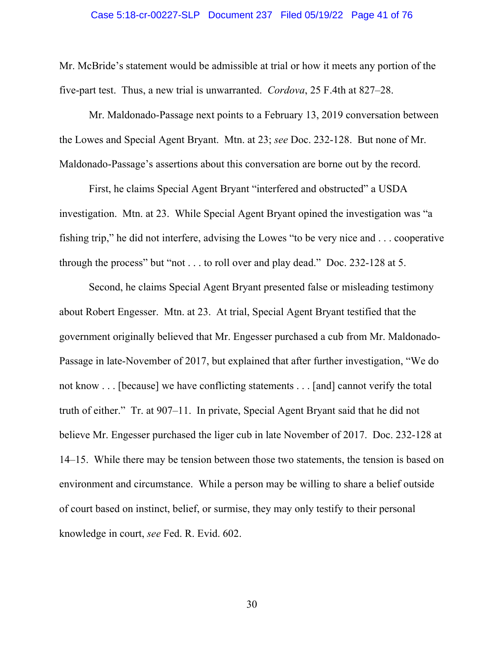#### Case 5:18-cr-00227-SLP Document 237 Filed 05/19/22 Page 41 of 76

Mr. McBride's statement would be admissible at trial or how it meets any portion of the five-part test. Thus, a new trial is unwarranted. *Cordova*, 25 F.4th at 827–28.

Mr. Maldonado-Passage next points to a February 13, 2019 conversation between the Lowes and Special Agent Bryant. Mtn. at 23; *see* Doc. 232-128. But none of Mr. Maldonado-Passage's assertions about this conversation are borne out by the record.

First, he claims Special Agent Bryant "interfered and obstructed" a USDA investigation. Mtn. at 23. While Special Agent Bryant opined the investigation was "a fishing trip," he did not interfere, advising the Lowes "to be very nice and . . . cooperative through the process" but "not . . . to roll over and play dead." Doc. 232-128 at 5.

Second, he claims Special Agent Bryant presented false or misleading testimony about Robert Engesser. Mtn. at 23. At trial, Special Agent Bryant testified that the government originally believed that Mr. Engesser purchased a cub from Mr. Maldonado-Passage in late-November of 2017, but explained that after further investigation, "We do not know . . . [because] we have conflicting statements . . . [and] cannot verify the total truth of either." Tr. at 907–11. In private, Special Agent Bryant said that he did not believe Mr. Engesser purchased the liger cub in late November of 2017. Doc. 232-128 at 14–15. While there may be tension between those two statements, the tension is based on environment and circumstance. While a person may be willing to share a belief outside of court based on instinct, belief, or surmise, they may only testify to their personal knowledge in court, *see* Fed. R. Evid. 602.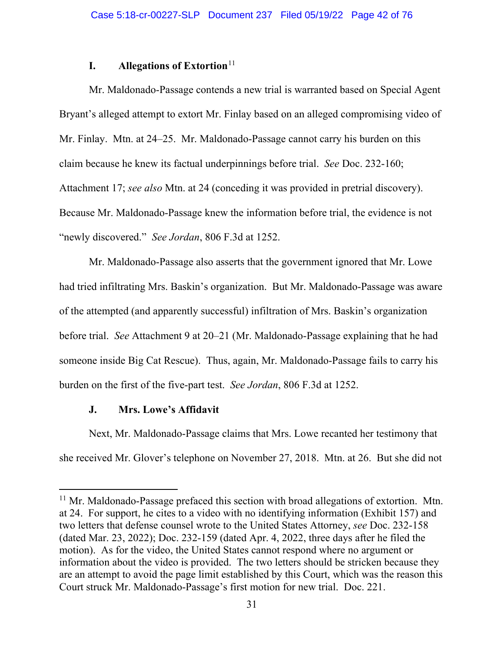# **I. Allegations of Extortion**<sup>[11](#page-41-0)</sup>

Mr. Maldonado-Passage contends a new trial is warranted based on Special Agent Bryant's alleged attempt to extort Mr. Finlay based on an alleged compromising video of Mr. Finlay. Mtn. at 24–25. Mr. Maldonado-Passage cannot carry his burden on this claim because he knew its factual underpinnings before trial. *See* Doc. 232-160; Attachment 17; *see also* Mtn. at 24 (conceding it was provided in pretrial discovery). Because Mr. Maldonado-Passage knew the information before trial, the evidence is not "newly discovered." *See Jordan*, 806 F.3d at 1252.

Mr. Maldonado-Passage also asserts that the government ignored that Mr. Lowe had tried infiltrating Mrs. Baskin's organization. But Mr. Maldonado-Passage was aware of the attempted (and apparently successful) infiltration of Mrs. Baskin's organization before trial. *See* Attachment 9 at 20–21 (Mr. Maldonado-Passage explaining that he had someone inside Big Cat Rescue). Thus, again, Mr. Maldonado-Passage fails to carry his burden on the first of the five-part test. *See Jordan*, 806 F.3d at 1252.

# **J. Mrs. Lowe's Affidavit**

Next, Mr. Maldonado-Passage claims that Mrs. Lowe recanted her testimony that she received Mr. Glover's telephone on November 27, 2018. Mtn. at 26. But she did not

<span id="page-41-0"></span> $11$  Mr. Maldonado-Passage prefaced this section with broad allegations of extortion. Mtn. at 24. For support, he cites to a video with no identifying information (Exhibit 157) and two letters that defense counsel wrote to the United States Attorney, *see* Doc. 232-158 (dated Mar. 23, 2022); Doc. 232-159 (dated Apr. 4, 2022, three days after he filed the motion). As for the video, the United States cannot respond where no argument or information about the video is provided. The two letters should be stricken because they are an attempt to avoid the page limit established by this Court, which was the reason this Court struck Mr. Maldonado-Passage's first motion for new trial. Doc. 221.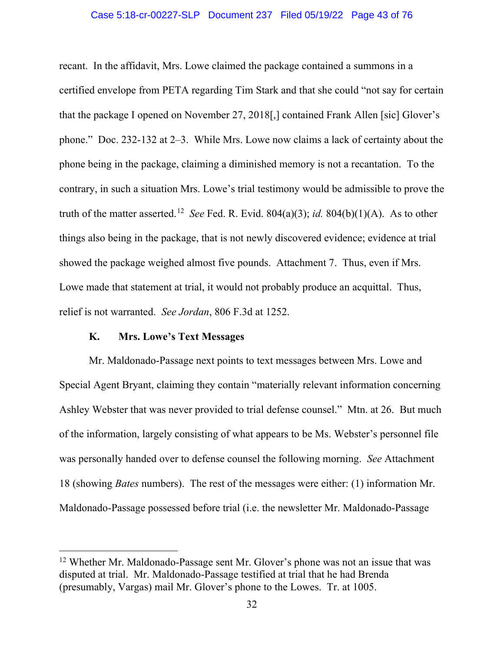#### Case 5:18-cr-00227-SLP Document 237 Filed 05/19/22 Page 43 of 76

recant. In the affidavit, Mrs. Lowe claimed the package contained a summons in a certified envelope from PETA regarding Tim Stark and that she could "not say for certain that the package I opened on November 27, 2018[,] contained Frank Allen [sic] Glover's phone." Doc. 232-132 at 2–3. While Mrs. Lowe now claims a lack of certainty about the phone being in the package, claiming a diminished memory is not a recantation. To the contrary, in such a situation Mrs. Lowe's trial testimony would be admissible to prove the truth of the matter asserted.<sup>[12](#page-42-0)</sup> *See* Fed. R. Evid. 804(a)(3); *id.* 804(b)(1)(A). As to other things also being in the package, that is not newly discovered evidence; evidence at trial showed the package weighed almost five pounds. Attachment 7. Thus, even if Mrs. Lowe made that statement at trial, it would not probably produce an acquittal. Thus, relief is not warranted. *See Jordan*, 806 F.3d at 1252.

# **K. Mrs. Lowe's Text Messages**

Mr. Maldonado-Passage next points to text messages between Mrs. Lowe and Special Agent Bryant, claiming they contain "materially relevant information concerning Ashley Webster that was never provided to trial defense counsel." Mtn. at 26. But much of the information, largely consisting of what appears to be Ms. Webster's personnel file was personally handed over to defense counsel the following morning. *See* Attachment 18 (showing *Bates* numbers). The rest of the messages were either: (1) information Mr. Maldonado-Passage possessed before trial (i.e. the newsletter Mr. Maldonado-Passage

<span id="page-42-0"></span><sup>&</sup>lt;sup>12</sup> Whether Mr. Maldonado-Passage sent Mr. Glover's phone was not an issue that was disputed at trial. Mr. Maldonado-Passage testified at trial that he had Brenda (presumably, Vargas) mail Mr. Glover's phone to the Lowes. Tr. at 1005.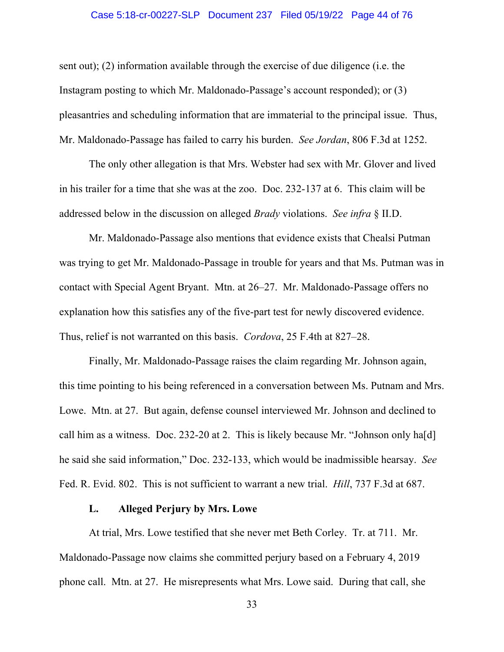#### Case 5:18-cr-00227-SLP Document 237 Filed 05/19/22 Page 44 of 76

sent out); (2) information available through the exercise of due diligence (i.e. the Instagram posting to which Mr. Maldonado-Passage's account responded); or (3) pleasantries and scheduling information that are immaterial to the principal issue. Thus, Mr. Maldonado-Passage has failed to carry his burden. *See Jordan*, 806 F.3d at 1252.

The only other allegation is that Mrs. Webster had sex with Mr. Glover and lived in his trailer for a time that she was at the zoo. Doc. 232-137 at 6. This claim will be addressed below in the discussion on alleged *Brady* violations. *See infra* § II.D.

Mr. Maldonado-Passage also mentions that evidence exists that Chealsi Putman was trying to get Mr. Maldonado-Passage in trouble for years and that Ms. Putman was in contact with Special Agent Bryant. Mtn. at 26–27. Mr. Maldonado-Passage offers no explanation how this satisfies any of the five-part test for newly discovered evidence. Thus, relief is not warranted on this basis. *Cordova*, 25 F.4th at 827–28.

Finally, Mr. Maldonado-Passage raises the claim regarding Mr. Johnson again, this time pointing to his being referenced in a conversation between Ms. Putnam and Mrs. Lowe. Mtn. at 27. But again, defense counsel interviewed Mr. Johnson and declined to call him as a witness. Doc. 232-20 at 2. This is likely because Mr. "Johnson only ha[d] he said she said information," Doc. 232-133, which would be inadmissible hearsay. *See* Fed. R. Evid. 802. This is not sufficient to warrant a new trial. *Hill*, 737 F.3d at 687.

## **L. Alleged Perjury by Mrs. Lowe**

At trial, Mrs. Lowe testified that she never met Beth Corley. Tr. at 711. Mr. Maldonado-Passage now claims she committed perjury based on a February 4, 2019 phone call. Mtn. at 27. He misrepresents what Mrs. Lowe said. During that call, she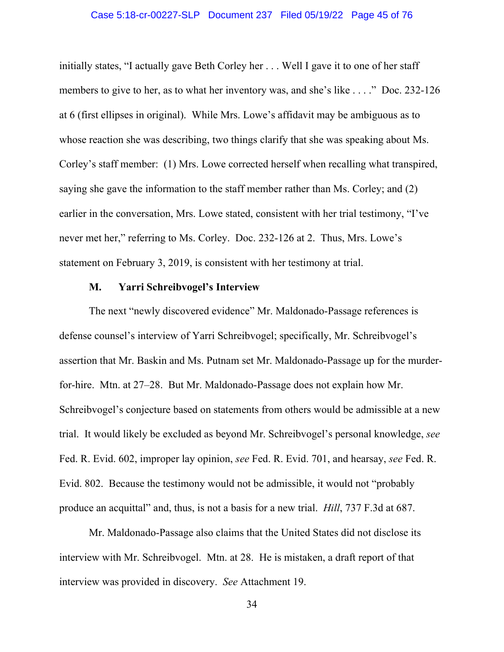#### Case 5:18-cr-00227-SLP Document 237 Filed 05/19/22 Page 45 of 76

initially states, "I actually gave Beth Corley her . . . Well I gave it to one of her staff members to give to her, as to what her inventory was, and she's like . . . ." Doc. 232-126 at 6 (first ellipses in original). While Mrs. Lowe's affidavit may be ambiguous as to whose reaction she was describing, two things clarify that she was speaking about Ms. Corley's staff member: (1) Mrs. Lowe corrected herself when recalling what transpired, saying she gave the information to the staff member rather than Ms. Corley; and (2) earlier in the conversation, Mrs. Lowe stated, consistent with her trial testimony, "I've never met her," referring to Ms. Corley. Doc. 232-126 at 2. Thus, Mrs. Lowe's statement on February 3, 2019, is consistent with her testimony at trial.

## **M. Yarri Schreibvogel's Interview**

The next "newly discovered evidence" Mr. Maldonado-Passage references is defense counsel's interview of Yarri Schreibvogel; specifically, Mr. Schreibvogel's assertion that Mr. Baskin and Ms. Putnam set Mr. Maldonado-Passage up for the murderfor-hire. Mtn. at 27–28. But Mr. Maldonado-Passage does not explain how Mr. Schreibvogel's conjecture based on statements from others would be admissible at a new trial. It would likely be excluded as beyond Mr. Schreibvogel's personal knowledge, *see* Fed. R. Evid. 602, improper lay opinion, *see* Fed. R. Evid. 701, and hearsay, *see* Fed. R. Evid. 802. Because the testimony would not be admissible, it would not "probably produce an acquittal" and, thus, is not a basis for a new trial. *Hill*, 737 F.3d at 687.

Mr. Maldonado-Passage also claims that the United States did not disclose its interview with Mr. Schreibvogel. Mtn. at 28. He is mistaken, a draft report of that interview was provided in discovery. *See* Attachment 19.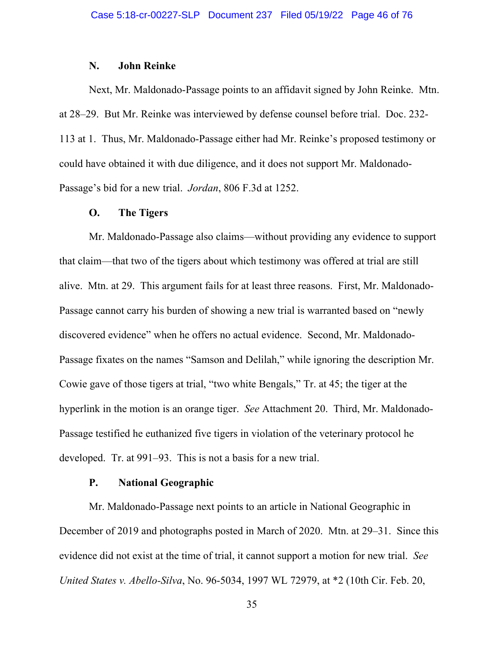### **N. John Reinke**

Next, Mr. Maldonado-Passage points to an affidavit signed by John Reinke. Mtn. at 28–29. But Mr. Reinke was interviewed by defense counsel before trial. Doc. 232- 113 at 1. Thus, Mr. Maldonado-Passage either had Mr. Reinke's proposed testimony or could have obtained it with due diligence, and it does not support Mr. Maldonado-Passage's bid for a new trial. *Jordan*, 806 F.3d at 1252.

### **O. The Tigers**

Mr. Maldonado-Passage also claims—without providing any evidence to support that claim—that two of the tigers about which testimony was offered at trial are still alive. Mtn. at 29. This argument fails for at least three reasons. First, Mr. Maldonado-Passage cannot carry his burden of showing a new trial is warranted based on "newly discovered evidence" when he offers no actual evidence. Second, Mr. Maldonado-Passage fixates on the names "Samson and Delilah," while ignoring the description Mr. Cowie gave of those tigers at trial, "two white Bengals," Tr. at 45; the tiger at the hyperlink in the motion is an orange tiger. *See* Attachment 20. Third, Mr. Maldonado-Passage testified he euthanized five tigers in violation of the veterinary protocol he developed. Tr. at 991–93. This is not a basis for a new trial.

### **P. National Geographic**

Mr. Maldonado-Passage next points to an article in National Geographic in December of 2019 and photographs posted in March of 2020. Mtn. at 29–31. Since this evidence did not exist at the time of trial, it cannot support a motion for new trial. *See United States v. Abello-Silva*, No. 96-5034, 1997 WL 72979, at \*2 (10th Cir. Feb. 20,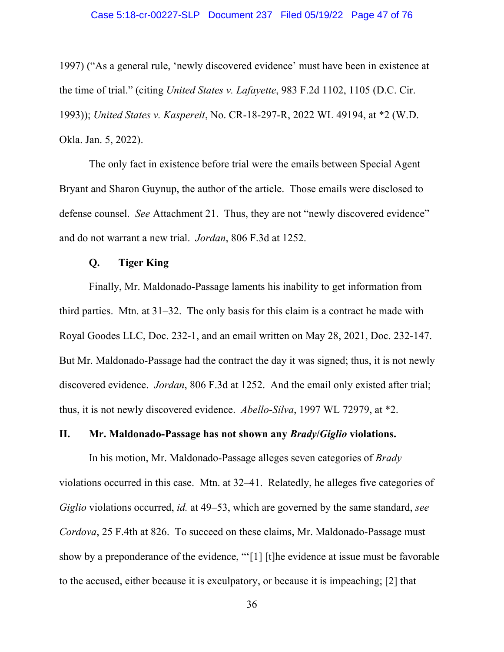1997) ("As a general rule, 'newly discovered evidence' must have been in existence at the time of trial." (citing *United States v. Lafayette*, 983 F.2d 1102, 1105 (D.C. Cir. 1993)); *United States v. Kaspereit*, No. CR-18-297-R, 2022 WL 49194, at \*2 (W.D. Okla. Jan. 5, 2022).

The only fact in existence before trial were the emails between Special Agent Bryant and Sharon Guynup, the author of the article. Those emails were disclosed to defense counsel. *See* Attachment 21. Thus, they are not "newly discovered evidence" and do not warrant a new trial. *Jordan*, 806 F.3d at 1252.

## **Q. Tiger King**

Finally, Mr. Maldonado-Passage laments his inability to get information from third parties. Mtn. at 31–32. The only basis for this claim is a contract he made with Royal Goodes LLC, Doc. 232-1, and an email written on May 28, 2021, Doc. 232-147. But Mr. Maldonado-Passage had the contract the day it was signed; thus, it is not newly discovered evidence. *Jordan*, 806 F.3d at 1252. And the email only existed after trial; thus, it is not newly discovered evidence. *Abello-Silva*, 1997 WL 72979, at \*2.

## **II. Mr. Maldonado-Passage has not shown any** *Brady***/***Giglio* **violations.**

In his motion, Mr. Maldonado-Passage alleges seven categories of *Brady* violations occurred in this case. Mtn. at 32–41. Relatedly, he alleges five categories of *Giglio* violations occurred, *id.* at 49–53, which are governed by the same standard, *see Cordova*, 25 F.4th at 826. To succeed on these claims, Mr. Maldonado-Passage must show by a preponderance of the evidence, "'[1] [t]he evidence at issue must be favorable to the accused, either because it is exculpatory, or because it is impeaching; [2] that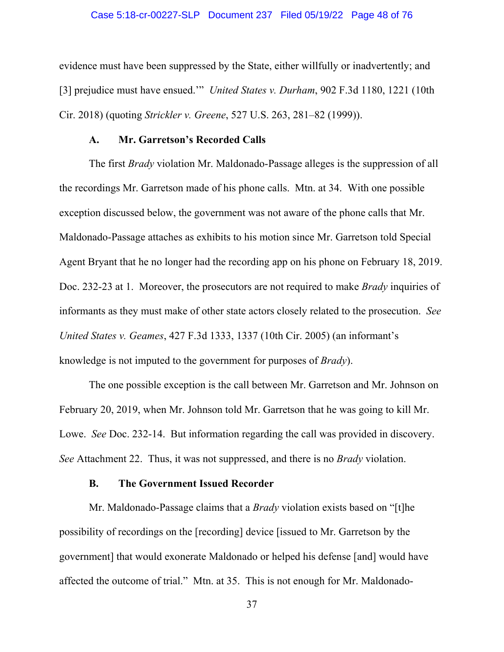#### Case 5:18-cr-00227-SLP Document 237 Filed 05/19/22 Page 48 of 76

evidence must have been suppressed by the State, either willfully or inadvertently; and [3] prejudice must have ensued.'" *United States v. Durham*, 902 F.3d 1180, 1221 (10th Cir. 2018) (quoting *Strickler v. Greene*, 527 U.S. 263, 281–82 (1999)).

## **A. Mr. Garretson's Recorded Calls**

The first *Brady* violation Mr. Maldonado-Passage alleges is the suppression of all the recordings Mr. Garretson made of his phone calls. Mtn. at 34. With one possible exception discussed below, the government was not aware of the phone calls that Mr. Maldonado-Passage attaches as exhibits to his motion since Mr. Garretson told Special Agent Bryant that he no longer had the recording app on his phone on February 18, 2019. Doc. 232-23 at 1. Moreover, the prosecutors are not required to make *Brady* inquiries of informants as they must make of other state actors closely related to the prosecution. *See United States v. Geames*, 427 F.3d 1333, 1337 (10th Cir. 2005) (an informant's knowledge is not imputed to the government for purposes of *Brady*).

The one possible exception is the call between Mr. Garretson and Mr. Johnson on February 20, 2019, when Mr. Johnson told Mr. Garretson that he was going to kill Mr. Lowe. *See* Doc. 232-14. But information regarding the call was provided in discovery. *See* Attachment 22. Thus, it was not suppressed, and there is no *Brady* violation.

## **B. The Government Issued Recorder**

Mr. Maldonado-Passage claims that a *Brady* violation exists based on "[t]he possibility of recordings on the [recording] device [issued to Mr. Garretson by the government] that would exonerate Maldonado or helped his defense [and] would have affected the outcome of trial." Mtn. at 35. This is not enough for Mr. Maldonado-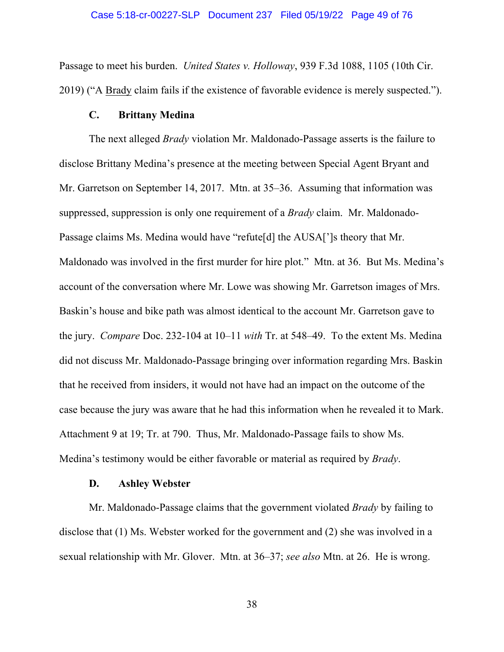# Case 5:18-cr-00227-SLP Document 237 Filed 05/19/22 Page 49 of 76

Passage to meet his burden. *United States v. Holloway*, 939 F.3d 1088, 1105 (10th Cir. 2019) ("A Brady claim fails if the existence of favorable evidence is merely suspected.").

## **C. Brittany Medina**

 The next alleged *Brady* violation Mr. Maldonado-Passage asserts is the failure to disclose Brittany Medina's presence at the meeting between Special Agent Bryant and Mr. Garretson on September 14, 2017. Mtn. at 35–36. Assuming that information was suppressed, suppression is only one requirement of a *Brady* claim. Mr. Maldonado-Passage claims Ms. Medina would have "refute[d] the AUSA[']s theory that Mr. Maldonado was involved in the first murder for hire plot." Mtn. at 36. But Ms. Medina's account of the conversation where Mr. Lowe was showing Mr. Garretson images of Mrs. Baskin's house and bike path was almost identical to the account Mr. Garretson gave to the jury. *Compare* Doc. 232-104 at 10–11 *with* Tr. at 548–49. To the extent Ms. Medina did not discuss Mr. Maldonado-Passage bringing over information regarding Mrs. Baskin that he received from insiders, it would not have had an impact on the outcome of the case because the jury was aware that he had this information when he revealed it to Mark. Attachment 9 at 19; Tr. at 790. Thus, Mr. Maldonado-Passage fails to show Ms. Medina's testimony would be either favorable or material as required by *Brady*.

## **D. Ashley Webster**

 Mr. Maldonado-Passage claims that the government violated *Brady* by failing to disclose that (1) Ms. Webster worked for the government and (2) she was involved in a sexual relationship with Mr. Glover. Mtn. at 36–37; *see also* Mtn. at 26. He is wrong.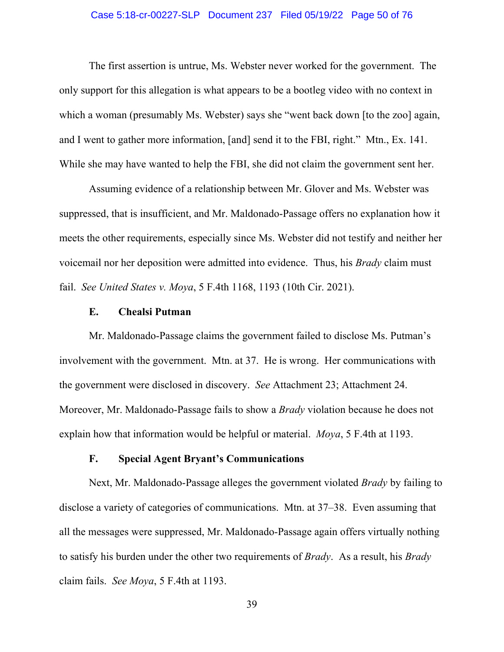#### Case 5:18-cr-00227-SLP Document 237 Filed 05/19/22 Page 50 of 76

The first assertion is untrue, Ms. Webster never worked for the government. The only support for this allegation is what appears to be a bootleg video with no context in which a woman (presumably Ms. Webster) says she "went back down [to the zoo] again, and I went to gather more information, [and] send it to the FBI, right." Mtn., Ex. 141. While she may have wanted to help the FBI, she did not claim the government sent her.

Assuming evidence of a relationship between Mr. Glover and Ms. Webster was suppressed, that is insufficient, and Mr. Maldonado-Passage offers no explanation how it meets the other requirements, especially since Ms. Webster did not testify and neither her voicemail nor her deposition were admitted into evidence. Thus, his *Brady* claim must fail. *See United States v. Moya*, 5 F.4th 1168, 1193 (10th Cir. 2021).

## **E. Chealsi Putman**

Mr. Maldonado-Passage claims the government failed to disclose Ms. Putman's involvement with the government. Mtn. at 37. He is wrong. Her communications with the government were disclosed in discovery. *See* Attachment 23; Attachment 24. Moreover, Mr. Maldonado-Passage fails to show a *Brady* violation because he does not explain how that information would be helpful or material. *Moya*, 5 F.4th at 1193.

## **F. Special Agent Bryant's Communications**

Next, Mr. Maldonado-Passage alleges the government violated *Brady* by failing to disclose a variety of categories of communications. Mtn. at 37–38. Even assuming that all the messages were suppressed, Mr. Maldonado-Passage again offers virtually nothing to satisfy his burden under the other two requirements of *Brady*. As a result, his *Brady* claim fails. *See Moya*, 5 F.4th at 1193.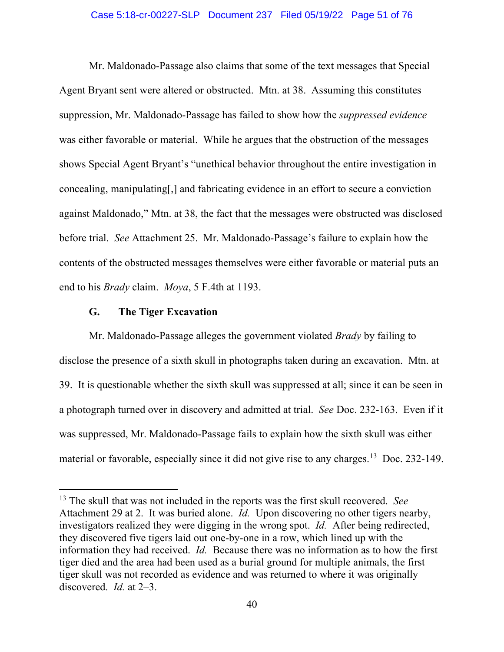#### Case 5:18-cr-00227-SLP Document 237 Filed 05/19/22 Page 51 of 76

Mr. Maldonado-Passage also claims that some of the text messages that Special Agent Bryant sent were altered or obstructed. Mtn. at 38. Assuming this constitutes suppression, Mr. Maldonado-Passage has failed to show how the *suppressed evidence* was either favorable or material. While he argues that the obstruction of the messages shows Special Agent Bryant's "unethical behavior throughout the entire investigation in concealing, manipulating[,] and fabricating evidence in an effort to secure a conviction against Maldonado," Mtn. at 38, the fact that the messages were obstructed was disclosed before trial. *See* Attachment 25. Mr. Maldonado-Passage's failure to explain how the contents of the obstructed messages themselves were either favorable or material puts an end to his *Brady* claim. *Moya*, 5 F.4th at 1193.

## **G. The Tiger Excavation**

Mr. Maldonado-Passage alleges the government violated *Brady* by failing to disclose the presence of a sixth skull in photographs taken during an excavation. Mtn. at 39. It is questionable whether the sixth skull was suppressed at all; since it can be seen in a photograph turned over in discovery and admitted at trial. *See* Doc. 232-163. Even if it was suppressed, Mr. Maldonado-Passage fails to explain how the sixth skull was either material or favorable, especially since it did not give rise to any charges.<sup>[13](#page-50-0)</sup> Doc. 232-149.

<span id="page-50-0"></span><sup>13</sup> The skull that was not included in the reports was the first skull recovered. *See* Attachment 29 at 2. It was buried alone. *Id.* Upon discovering no other tigers nearby, investigators realized they were digging in the wrong spot. *Id.* After being redirected, they discovered five tigers laid out one-by-one in a row, which lined up with the information they had received. *Id.* Because there was no information as to how the first tiger died and the area had been used as a burial ground for multiple animals, the first tiger skull was not recorded as evidence and was returned to where it was originally discovered. *Id.* at 2–3.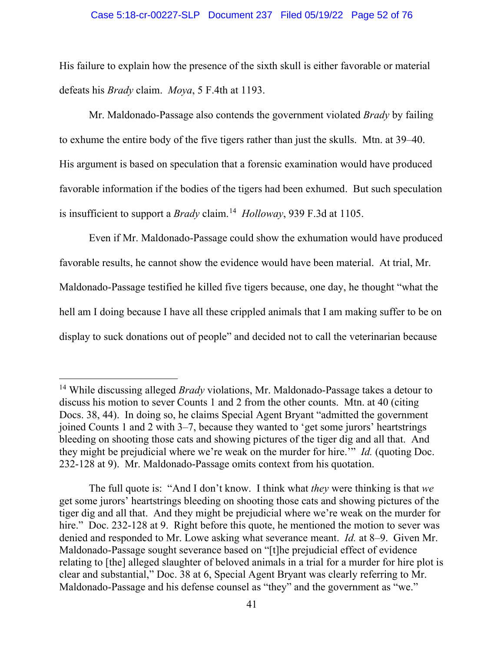#### Case 5:18-cr-00227-SLP Document 237 Filed 05/19/22 Page 52 of 76

His failure to explain how the presence of the sixth skull is either favorable or material defeats his *Brady* claim. *Moya*, 5 F.4th at 1193.

Mr. Maldonado-Passage also contends the government violated *Brady* by failing to exhume the entire body of the five tigers rather than just the skulls. Mtn. at 39–40. His argument is based on speculation that a forensic examination would have produced favorable information if the bodies of the tigers had been exhumed. But such speculation is insufficient to support a *Brady* claim.[14](#page-51-0) *Holloway*, 939 F.3d at 1105.

Even if Mr. Maldonado-Passage could show the exhumation would have produced favorable results, he cannot show the evidence would have been material. At trial, Mr. Maldonado-Passage testified he killed five tigers because, one day, he thought "what the hell am I doing because I have all these crippled animals that I am making suffer to be on display to suck donations out of people" and decided not to call the veterinarian because

The full quote is: "And I don't know. I think what *they* were thinking is that *we* get some jurors' heartstrings bleeding on shooting those cats and showing pictures of the tiger dig and all that. And they might be prejudicial where we're weak on the murder for hire." Doc. 232-128 at 9. Right before this quote, he mentioned the motion to sever was denied and responded to Mr. Lowe asking what severance meant. *Id.* at 8–9. Given Mr. Maldonado-Passage sought severance based on "[t]he prejudicial effect of evidence relating to [the] alleged slaughter of beloved animals in a trial for a murder for hire plot is clear and substantial," Doc. 38 at 6, Special Agent Bryant was clearly referring to Mr. Maldonado-Passage and his defense counsel as "they" and the government as "we."

<span id="page-51-0"></span><sup>14</sup> While discussing alleged *Brady* violations, Mr. Maldonado-Passage takes a detour to discuss his motion to sever Counts 1 and 2 from the other counts. Mtn. at 40 (citing Docs. 38, 44). In doing so, he claims Special Agent Bryant "admitted the government joined Counts 1 and 2 with 3–7, because they wanted to 'get some jurors' heartstrings bleeding on shooting those cats and showing pictures of the tiger dig and all that. And they might be prejudicial where we're weak on the murder for hire.'" *Id.* (quoting Doc. 232-128 at 9). Mr. Maldonado-Passage omits context from his quotation.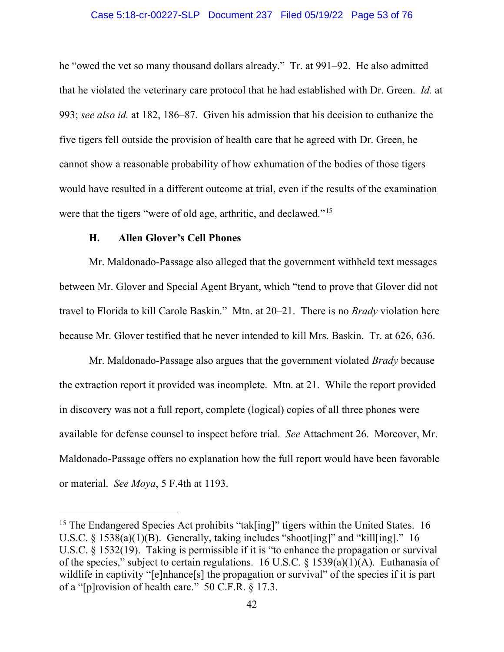#### Case 5:18-cr-00227-SLP Document 237 Filed 05/19/22 Page 53 of 76

he "owed the vet so many thousand dollars already." Tr. at 991–92. He also admitted that he violated the veterinary care protocol that he had established with Dr. Green. *Id.* at 993; *see also id.* at 182, 186–87. Given his admission that his decision to euthanize the five tigers fell outside the provision of health care that he agreed with Dr. Green, he cannot show a reasonable probability of how exhumation of the bodies of those tigers would have resulted in a different outcome at trial, even if the results of the examination were that the tigers "were of old age, arthritic, and declawed."<sup>[15](#page-52-0)</sup>

## **H. Allen Glover's Cell Phones**

Mr. Maldonado-Passage also alleged that the government withheld text messages between Mr. Glover and Special Agent Bryant, which "tend to prove that Glover did not travel to Florida to kill Carole Baskin." Mtn. at 20–21. There is no *Brady* violation here because Mr. Glover testified that he never intended to kill Mrs. Baskin. Tr. at 626, 636.

Mr. Maldonado-Passage also argues that the government violated *Brady* because the extraction report it provided was incomplete. Mtn. at 21. While the report provided in discovery was not a full report, complete (logical) copies of all three phones were available for defense counsel to inspect before trial. *See* Attachment 26. Moreover, Mr. Maldonado-Passage offers no explanation how the full report would have been favorable or material. *See Moya*, 5 F.4th at 1193.

<span id="page-52-0"></span><sup>&</sup>lt;sup>15</sup> The Endangered Species Act prohibits "tak[ing]" tigers within the United States. 16 U.S.C.  $\S$  1538(a)(1)(B). Generally, taking includes "shoot[ing]" and "kill[ing]." 16 U.S.C. § 1532(19). Taking is permissible if it is "to enhance the propagation or survival of the species," subject to certain regulations. 16 U.S.C. § 1539(a)(1)(A). Euthanasia of wildlife in captivity "[e]nhance[s] the propagation or survival" of the species if it is part of a "[p]rovision of health care." 50 C.F.R. § 17.3.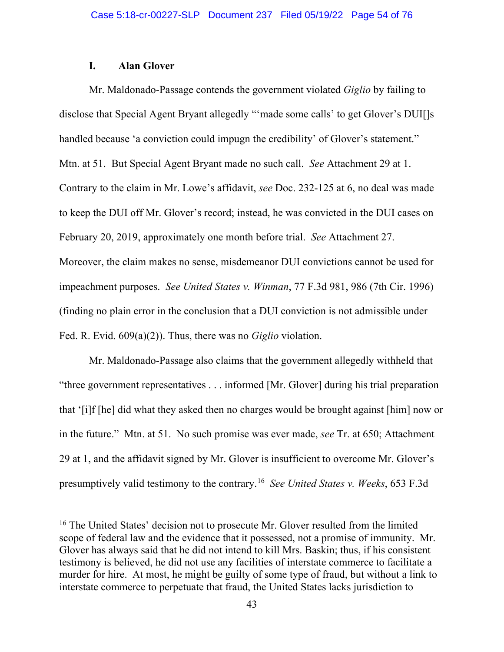## **I. Alan Glover**

Mr. Maldonado-Passage contends the government violated *Giglio* by failing to disclose that Special Agent Bryant allegedly "'made some calls' to get Glover's DUI[]s handled because 'a conviction could impugn the credibility' of Glover's statement." Mtn. at 51. But Special Agent Bryant made no such call. *See* Attachment 29 at 1. Contrary to the claim in Mr. Lowe's affidavit, *see* Doc. 232-125 at 6, no deal was made to keep the DUI off Mr. Glover's record; instead, he was convicted in the DUI cases on February 20, 2019, approximately one month before trial. *See* Attachment 27. Moreover, the claim makes no sense, misdemeanor DUI convictions cannot be used for impeachment purposes. *See United States v. Winman*, 77 F.3d 981, 986 (7th Cir. 1996) (finding no plain error in the conclusion that a DUI conviction is not admissible under Fed. R. Evid. 609(a)(2)). Thus, there was no *Giglio* violation.

Mr. Maldonado-Passage also claims that the government allegedly withheld that "three government representatives . . . informed [Mr. Glover] during his trial preparation that '[i]f [he] did what they asked then no charges would be brought against [him] now or in the future." Mtn. at 51. No such promise was ever made, *see* Tr. at 650; Attachment 29 at 1, and the affidavit signed by Mr. Glover is insufficient to overcome Mr. Glover's presumptively valid testimony to the contrary.[16](#page-53-0) *See United States v. Weeks*, 653 F.3d

<span id="page-53-0"></span><sup>&</sup>lt;sup>16</sup> The United States' decision not to prosecute Mr. Glover resulted from the limited scope of federal law and the evidence that it possessed, not a promise of immunity. Mr. Glover has always said that he did not intend to kill Mrs. Baskin; thus, if his consistent testimony is believed, he did not use any facilities of interstate commerce to facilitate a murder for hire. At most, he might be guilty of some type of fraud, but without a link to interstate commerce to perpetuate that fraud, the United States lacks jurisdiction to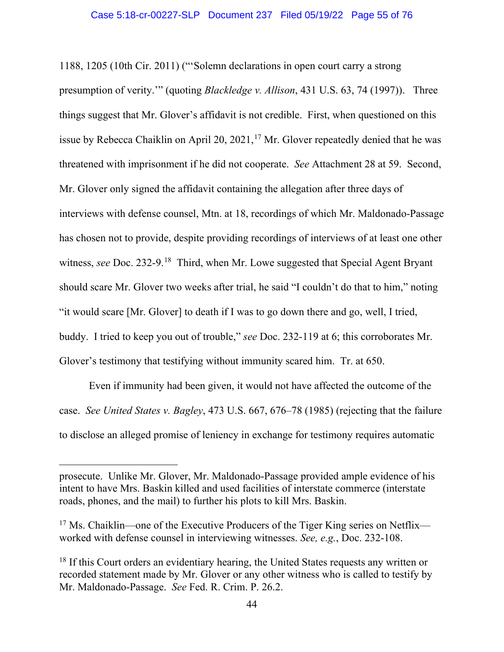1188, 1205 (10th Cir. 2011) ("'Solemn declarations in open court carry a strong presumption of verity.'" (quoting *Blackledge v. Allison*, 431 U.S. 63, 74 (1997)). Three things suggest that Mr. Glover's affidavit is not credible. First, when questioned on this issue by Rebecca Chaiklin on April 20, 2021,  $17$  Mr. Glover repeatedly denied that he was threatened with imprisonment if he did not cooperate. *See* Attachment 28 at 59. Second, Mr. Glover only signed the affidavit containing the allegation after three days of interviews with defense counsel, Mtn. at 18, recordings of which Mr. Maldonado-Passage has chosen not to provide, despite providing recordings of interviews of at least one other witness, *see* Doc. 232-9.<sup>[18](#page-54-1)</sup> Third, when Mr. Lowe suggested that Special Agent Bryant should scare Mr. Glover two weeks after trial, he said "I couldn't do that to him," noting "it would scare [Mr. Glover] to death if I was to go down there and go, well, I tried, buddy. I tried to keep you out of trouble," *see* Doc. 232-119 at 6; this corroborates Mr. Glover's testimony that testifying without immunity scared him. Tr. at 650.

Even if immunity had been given, it would not have affected the outcome of the case. *See United States v. Bagley*, 473 U.S. 667, 676–78 (1985) (rejecting that the failure to disclose an alleged promise of leniency in exchange for testimony requires automatic

prosecute. Unlike Mr. Glover, Mr. Maldonado-Passage provided ample evidence of his intent to have Mrs. Baskin killed and used facilities of interstate commerce (interstate roads, phones, and the mail) to further his plots to kill Mrs. Baskin.

<span id="page-54-0"></span><sup>&</sup>lt;sup>17</sup> Ms. Chaiklin—one of the Executive Producers of the Tiger King series on Netflix worked with defense counsel in interviewing witnesses. *See, e.g.*, Doc. 232-108.

<span id="page-54-1"></span> $18$  If this Court orders an evidentiary hearing, the United States requests any written or recorded statement made by Mr. Glover or any other witness who is called to testify by Mr. Maldonado-Passage. *See* Fed. R. Crim. P. 26.2.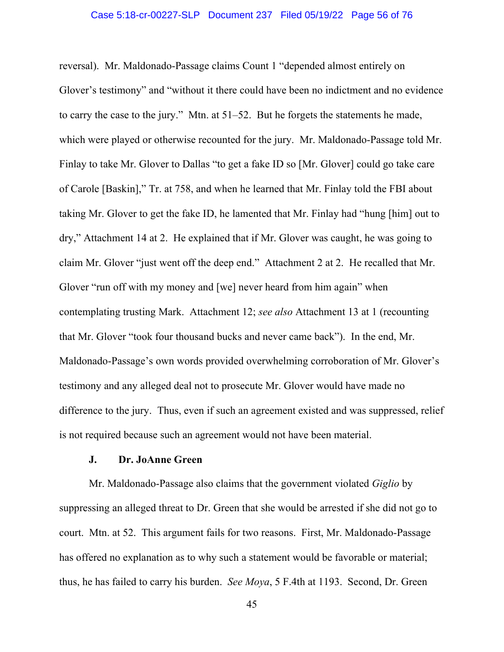### Case 5:18-cr-00227-SLP Document 237 Filed 05/19/22 Page 56 of 76

reversal). Mr. Maldonado-Passage claims Count 1 "depended almost entirely on Glover's testimony" and "without it there could have been no indictment and no evidence to carry the case to the jury." Mtn. at 51–52. But he forgets the statements he made, which were played or otherwise recounted for the jury. Mr. Maldonado-Passage told Mr. Finlay to take Mr. Glover to Dallas "to get a fake ID so [Mr. Glover] could go take care of Carole [Baskin]," Tr. at 758, and when he learned that Mr. Finlay told the FBI about taking Mr. Glover to get the fake ID, he lamented that Mr. Finlay had "hung [him] out to dry," Attachment 14 at 2. He explained that if Mr. Glover was caught, he was going to claim Mr. Glover "just went off the deep end." Attachment 2 at 2. He recalled that Mr. Glover "run off with my money and [we] never heard from him again" when contemplating trusting Mark. Attachment 12; *see also* Attachment 13 at 1 (recounting that Mr. Glover "took four thousand bucks and never came back"). In the end, Mr. Maldonado-Passage's own words provided overwhelming corroboration of Mr. Glover's testimony and any alleged deal not to prosecute Mr. Glover would have made no difference to the jury. Thus, even if such an agreement existed and was suppressed, relief is not required because such an agreement would not have been material.

## **J. Dr. JoAnne Green**

Mr. Maldonado-Passage also claims that the government violated *Giglio* by suppressing an alleged threat to Dr. Green that she would be arrested if she did not go to court. Mtn. at 52. This argument fails for two reasons. First, Mr. Maldonado-Passage has offered no explanation as to why such a statement would be favorable or material; thus, he has failed to carry his burden. *See Moya*, 5 F.4th at 1193. Second, Dr. Green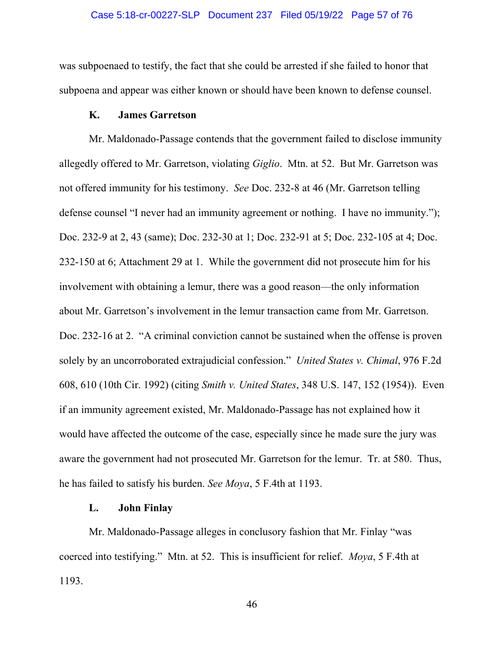#### Case 5:18-cr-00227-SLP Document 237 Filed 05/19/22 Page 57 of 76

was subpoenaed to testify, the fact that she could be arrested if she failed to honor that subpoena and appear was either known or should have been known to defense counsel.

## **K. James Garretson**

Mr. Maldonado-Passage contends that the government failed to disclose immunity allegedly offered to Mr. Garretson, violating *Giglio*. Mtn. at 52. But Mr. Garretson was not offered immunity for his testimony. *See* Doc. 232-8 at 46 (Mr. Garretson telling defense counsel "I never had an immunity agreement or nothing. I have no immunity."); Doc. 232-9 at 2, 43 (same); Doc. 232-30 at 1; Doc. 232-91 at 5; Doc. 232-105 at 4; Doc. 232-150 at 6; Attachment 29 at 1. While the government did not prosecute him for his involvement with obtaining a lemur, there was a good reason—the only information about Mr. Garretson's involvement in the lemur transaction came from Mr. Garretson. Doc. 232-16 at 2. "A criminal conviction cannot be sustained when the offense is proven solely by an uncorroborated extrajudicial confession." *United States v. Chimal*, 976 F.2d 608, 610 (10th Cir. 1992) (citing *Smith v. United States*, 348 U.S. 147, 152 (1954)). Even if an immunity agreement existed, Mr. Maldonado-Passage has not explained how it would have affected the outcome of the case, especially since he made sure the jury was aware the government had not prosecuted Mr. Garretson for the lemur. Tr. at 580. Thus, he has failed to satisfy his burden. *See Moya*, 5 F.4th at 1193.

## **L. John Finlay**

Mr. Maldonado-Passage alleges in conclusory fashion that Mr. Finlay "was coerced into testifying." Mtn. at 52. This is insufficient for relief. *Moya*, 5 F.4th at 1193.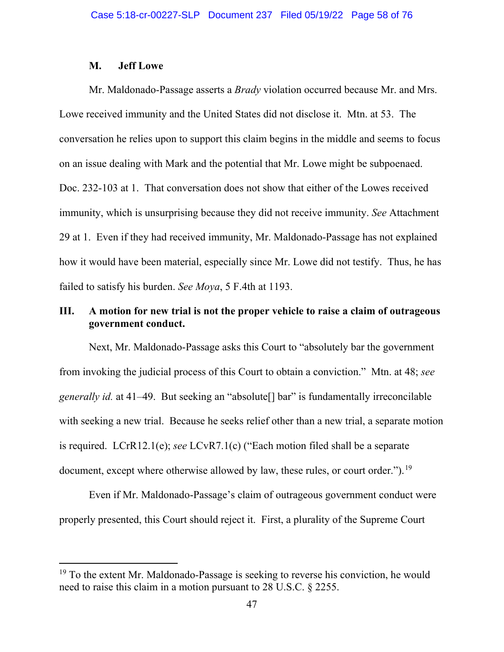## **M. Jeff Lowe**

Mr. Maldonado-Passage asserts a *Brady* violation occurred because Mr. and Mrs. Lowe received immunity and the United States did not disclose it. Mtn. at 53. The conversation he relies upon to support this claim begins in the middle and seems to focus on an issue dealing with Mark and the potential that Mr. Lowe might be subpoenaed. Doc. 232-103 at 1. That conversation does not show that either of the Lowes received immunity, which is unsurprising because they did not receive immunity. *See* Attachment 29 at 1. Even if they had received immunity, Mr. Maldonado-Passage has not explained how it would have been material, especially since Mr. Lowe did not testify. Thus, he has failed to satisfy his burden. *See Moya*, 5 F.4th at 1193.

# **III. A motion for new trial is not the proper vehicle to raise a claim of outrageous government conduct.**

Next, Mr. Maldonado-Passage asks this Court to "absolutely bar the government from invoking the judicial process of this Court to obtain a conviction." Mtn. at 48; *see generally id.* at 41–49. But seeking an "absolute[] bar" is fundamentally irreconcilable with seeking a new trial. Because he seeks relief other than a new trial, a separate motion is required. LCrR12.1(e); *see* LCvR7.1(c) ("Each motion filed shall be a separate document, except where otherwise allowed by law, these rules, or court order.").<sup>[19](#page-57-0)</sup>

Even if Mr. Maldonado-Passage's claim of outrageous government conduct were properly presented, this Court should reject it. First, a plurality of the Supreme Court

<span id="page-57-0"></span><sup>&</sup>lt;sup>19</sup> To the extent Mr. Maldonado-Passage is seeking to reverse his conviction, he would need to raise this claim in a motion pursuant to 28 U.S.C. § 2255.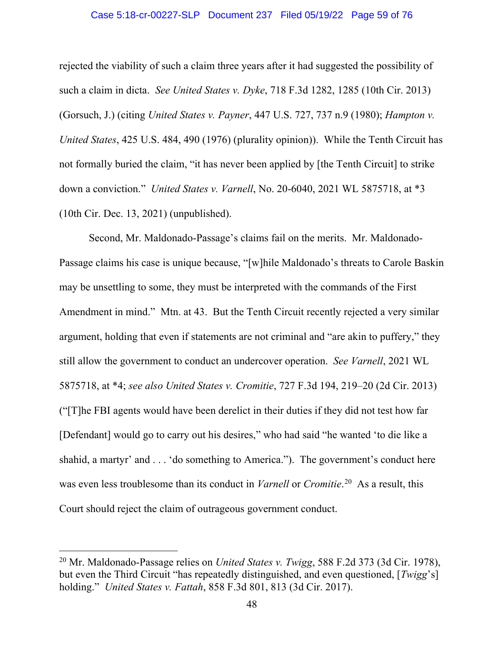#### Case 5:18-cr-00227-SLP Document 237 Filed 05/19/22 Page 59 of 76

rejected the viability of such a claim three years after it had suggested the possibility of such a claim in dicta. *See United States v. Dyke*, 718 F.3d 1282, 1285 (10th Cir. 2013) (Gorsuch, J.) (citing *United States v. Payner*, 447 U.S. 727, 737 n.9 (1980); *Hampton v. United States*, 425 U.S. 484, 490 (1976) (plurality opinion)). While the Tenth Circuit has not formally buried the claim, "it has never been applied by [the Tenth Circuit] to strike down a conviction." *United States v. Varnell*, No. 20-6040, 2021 WL 5875718, at \*3 (10th Cir. Dec. 13, 2021) (unpublished).

Second, Mr. Maldonado-Passage's claims fail on the merits. Mr. Maldonado-Passage claims his case is unique because, "[w]hile Maldonado's threats to Carole Baskin may be unsettling to some, they must be interpreted with the commands of the First Amendment in mind." Mtn. at 43. But the Tenth Circuit recently rejected a very similar argument, holding that even if statements are not criminal and "are akin to puffery," they still allow the government to conduct an undercover operation. *See Varnell*, 2021 WL 5875718, at \*4; *see also United States v. Cromitie*, 727 F.3d 194, 219–20 (2d Cir. 2013) ("[T]he FBI agents would have been derelict in their duties if they did not test how far [Defendant] would go to carry out his desires," who had said "he wanted 'to die like a shahid, a martyr' and . . . 'do something to America."). The government's conduct here was even less troublesome than its conduct in *Varnell* or *Cromitie*. [20](#page-58-0) As a result, this Court should reject the claim of outrageous government conduct.

<span id="page-58-0"></span><sup>20</sup> Mr. Maldonado-Passage relies on *United States v. Twigg*, 588 F.2d 373 (3d Cir. 1978), but even the Third Circuit "has repeatedly distinguished, and even questioned, [*Twigg*'s] holding." *United States v. Fattah*, 858 F.3d 801, 813 (3d Cir. 2017).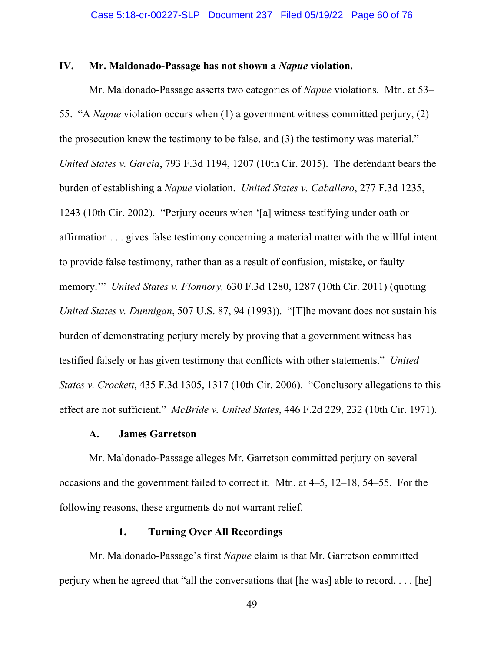## **IV. Mr. Maldonado-Passage has not shown a** *Napue* **violation.**

Mr. Maldonado-Passage asserts two categories of *Napue* violations. Mtn. at 53– 55. "A *Napue* violation occurs when (1) a government witness committed perjury, (2) the prosecution knew the testimony to be false, and (3) the testimony was material." *United States v. Garcia*, 793 F.3d 1194, 1207 (10th Cir. 2015). The defendant bears the burden of establishing a *Napue* violation. *United States v. Caballero*, 277 F.3d 1235, 1243 (10th Cir. 2002). "Perjury occurs when '[a] witness testifying under oath or affirmation . . . gives false testimony concerning a material matter with the willful intent to provide false testimony, rather than as a result of confusion, mistake, or faulty memory.'" *United States v. Flonnory,* 630 F.3d 1280, 1287 (10th Cir. 2011) (quoting *United States v. Dunnigan*, 507 U.S. 87, 94 (1993)). "[T]he movant does not sustain his burden of demonstrating perjury merely by proving that a government witness has testified falsely or has given testimony that conflicts with other statements." *United States v. Crockett*, 435 F.3d 1305, 1317 (10th Cir. 2006). "Conclusory allegations to this effect are not sufficient." *McBride v. United States*, 446 F.2d 229, 232 (10th Cir. 1971).

## **A. James Garretson**

Mr. Maldonado-Passage alleges Mr. Garretson committed perjury on several occasions and the government failed to correct it. Mtn. at 4–5, 12–18, 54–55. For the following reasons, these arguments do not warrant relief.

## **1. Turning Over All Recordings**

Mr. Maldonado-Passage's first *Napue* claim is that Mr. Garretson committed perjury when he agreed that "all the conversations that [he was] able to record, . . . [he]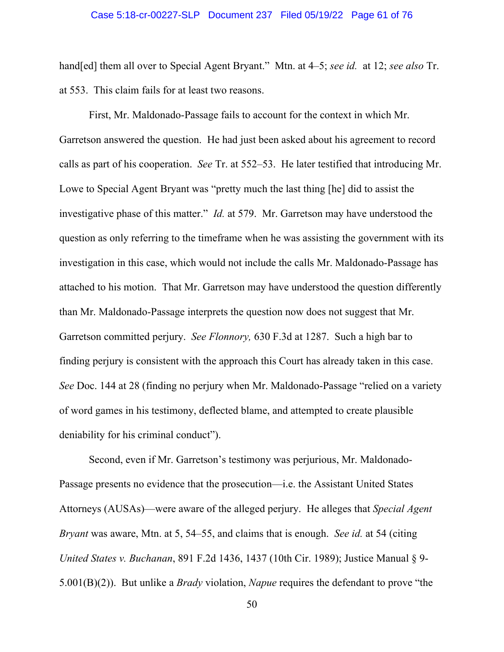### Case 5:18-cr-00227-SLP Document 237 Filed 05/19/22 Page 61 of 76

hand[ed] them all over to Special Agent Bryant." Mtn. at 4–5; *see id.* at 12; *see also* Tr. at 553. This claim fails for at least two reasons.

First, Mr. Maldonado-Passage fails to account for the context in which Mr. Garretson answered the question. He had just been asked about his agreement to record calls as part of his cooperation. *See* Tr. at 552–53. He later testified that introducing Mr. Lowe to Special Agent Bryant was "pretty much the last thing [he] did to assist the investigative phase of this matter." *Id.* at 579. Mr. Garretson may have understood the question as only referring to the timeframe when he was assisting the government with its investigation in this case, which would not include the calls Mr. Maldonado-Passage has attached to his motion. That Mr. Garretson may have understood the question differently than Mr. Maldonado-Passage interprets the question now does not suggest that Mr. Garretson committed perjury. *See Flonnory,* 630 F.3d at 1287. Such a high bar to finding perjury is consistent with the approach this Court has already taken in this case. *See* Doc. 144 at 28 (finding no perjury when Mr. Maldonado-Passage "relied on a variety of word games in his testimony, deflected blame, and attempted to create plausible deniability for his criminal conduct").

Second, even if Mr. Garretson's testimony was perjurious, Mr. Maldonado-Passage presents no evidence that the prosecution—i.e. the Assistant United States Attorneys (AUSAs)—were aware of the alleged perjury. He alleges that *Special Agent Bryant* was aware, Mtn. at 5, 54–55, and claims that is enough. *See id.* at 54 (citing *United States v. Buchanan*, 891 F.2d 1436, 1437 (10th Cir. 1989); Justice Manual § 9- 5.001(B)(2)). But unlike a *Brady* violation, *Napue* requires the defendant to prove "the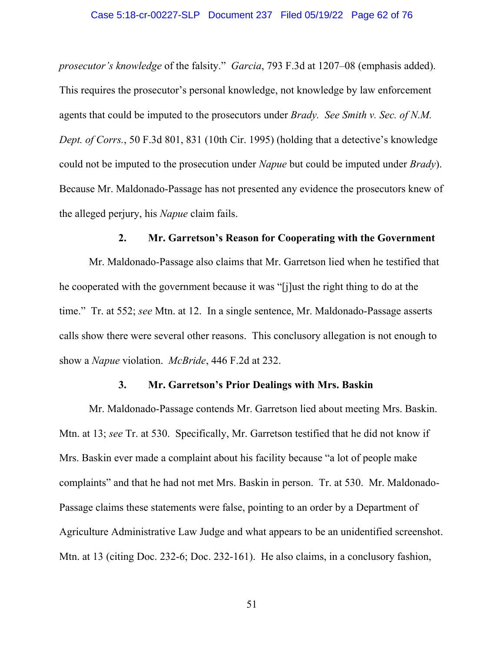*prosecutor's knowledge* of the falsity." *Garcia*, 793 F.3d at 1207–08 (emphasis added). This requires the prosecutor's personal knowledge, not knowledge by law enforcement agents that could be imputed to the prosecutors under *Brady. See Smith v. Sec. of N.M. Dept. of Corrs.*, 50 F.3d 801, 831 (10th Cir. 1995) (holding that a detective's knowledge could not be imputed to the prosecution under *Napue* but could be imputed under *Brady*). Because Mr. Maldonado-Passage has not presented any evidence the prosecutors knew of the alleged perjury, his *Napue* claim fails.

### **2. Mr. Garretson's Reason for Cooperating with the Government**

Mr. Maldonado-Passage also claims that Mr. Garretson lied when he testified that he cooperated with the government because it was "[j]ust the right thing to do at the time." Tr. at 552; *see* Mtn. at 12. In a single sentence, Mr. Maldonado-Passage asserts calls show there were several other reasons. This conclusory allegation is not enough to show a *Napue* violation. *McBride*, 446 F.2d at 232.

## **3. Mr. Garretson's Prior Dealings with Mrs. Baskin**

Mr. Maldonado-Passage contends Mr. Garretson lied about meeting Mrs. Baskin. Mtn. at 13; *see* Tr. at 530. Specifically, Mr. Garretson testified that he did not know if Mrs. Baskin ever made a complaint about his facility because "a lot of people make complaints" and that he had not met Mrs. Baskin in person. Tr. at 530. Mr. Maldonado-Passage claims these statements were false, pointing to an order by a Department of Agriculture Administrative Law Judge and what appears to be an unidentified screenshot. Mtn. at 13 (citing Doc. 232-6; Doc. 232-161). He also claims, in a conclusory fashion,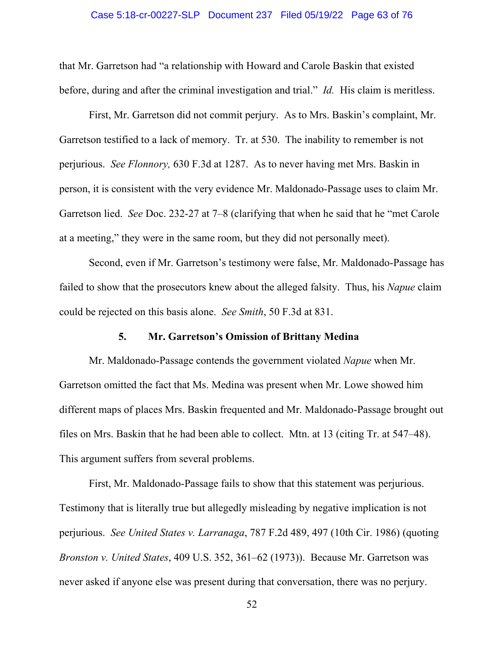#### Case 5:18-cr-00227-SLP Document 237 Filed 05/19/22 Page 63 of 76

that Mr. Garretson had "a relationship with Howard and Carole Baskin that existed before, during and after the criminal investigation and trial." *Id.* His claim is meritless.

First, Mr. Garretson did not commit perjury. As to Mrs. Baskin's complaint, Mr. Garretson testified to a lack of memory. Tr. at 530. The inability to remember is not perjurious. *See Flonnory,* 630 F.3d at 1287. As to never having met Mrs. Baskin in person, it is consistent with the very evidence Mr. Maldonado-Passage uses to claim Mr. Garretson lied. *See* Doc. 232-27 at 7–8 (clarifying that when he said that he "met Carole at a meeting," they were in the same room, but they did not personally meet).

Second, even if Mr. Garretson's testimony were false, Mr. Maldonado-Passage has failed to show that the prosecutors knew about the alleged falsity. Thus, his *Napue* claim could be rejected on this basis alone. *See Smith*, 50 F.3d at 831.

## **5. Mr. Garretson's Omission of Brittany Medina**

Mr. Maldonado-Passage contends the government violated *Napue* when Mr. Garretson omitted the fact that Ms. Medina was present when Mr. Lowe showed him different maps of places Mrs. Baskin frequented and Mr. Maldonado-Passage brought out files on Mrs. Baskin that he had been able to collect. Mtn. at 13 (citing Tr. at 547–48). This argument suffers from several problems.

First, Mr. Maldonado-Passage fails to show that this statement was perjurious. Testimony that is literally true but allegedly misleading by negative implication is not perjurious. *See United States v. Larranaga*, 787 F.2d 489, 497 (10th Cir. 1986) (quoting *Bronston v. United States*, 409 U.S. 352, 361–62 (1973)). Because Mr. Garretson was never asked if anyone else was present during that conversation, there was no perjury.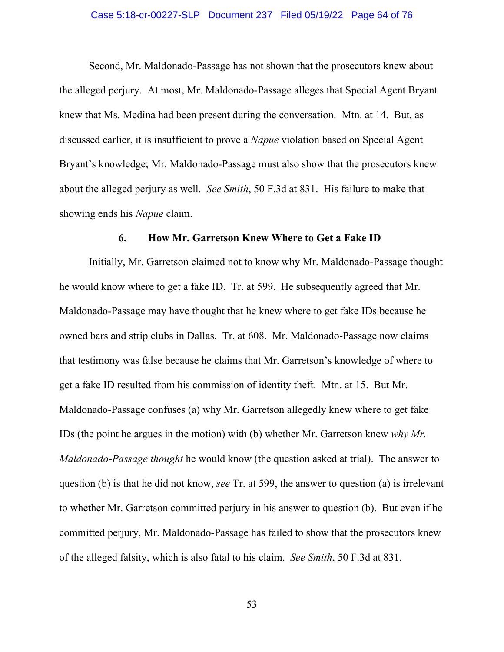#### Case 5:18-cr-00227-SLP Document 237 Filed 05/19/22 Page 64 of 76

Second, Mr. Maldonado-Passage has not shown that the prosecutors knew about the alleged perjury. At most, Mr. Maldonado-Passage alleges that Special Agent Bryant knew that Ms. Medina had been present during the conversation. Mtn. at 14. But, as discussed earlier, it is insufficient to prove a *Napue* violation based on Special Agent Bryant's knowledge; Mr. Maldonado-Passage must also show that the prosecutors knew about the alleged perjury as well. *See Smith*, 50 F.3d at 831. His failure to make that showing ends his *Napue* claim.

#### **6. How Mr. Garretson Knew Where to Get a Fake ID**

Initially, Mr. Garretson claimed not to know why Mr. Maldonado-Passage thought he would know where to get a fake ID. Tr. at 599. He subsequently agreed that Mr. Maldonado-Passage may have thought that he knew where to get fake IDs because he owned bars and strip clubs in Dallas. Tr. at 608. Mr. Maldonado-Passage now claims that testimony was false because he claims that Mr. Garretson's knowledge of where to get a fake ID resulted from his commission of identity theft. Mtn. at 15. But Mr. Maldonado-Passage confuses (a) why Mr. Garretson allegedly knew where to get fake IDs (the point he argues in the motion) with (b) whether Mr. Garretson knew *why Mr. Maldonado-Passage thought* he would know (the question asked at trial). The answer to question (b) is that he did not know, *see* Tr. at 599, the answer to question (a) is irrelevant to whether Mr. Garretson committed perjury in his answer to question (b). But even if he committed perjury, Mr. Maldonado-Passage has failed to show that the prosecutors knew of the alleged falsity, which is also fatal to his claim. *See Smith*, 50 F.3d at 831.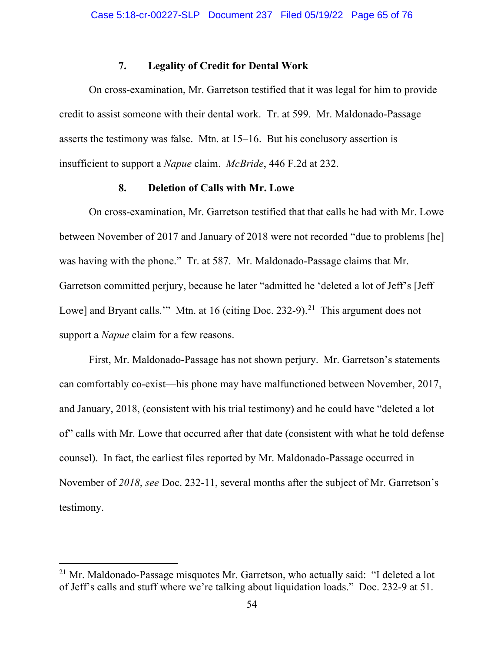## **7. Legality of Credit for Dental Work**

On cross-examination, Mr. Garretson testified that it was legal for him to provide credit to assist someone with their dental work. Tr. at 599. Mr. Maldonado-Passage asserts the testimony was false. Mtn. at 15–16. But his conclusory assertion is insufficient to support a *Napue* claim. *McBride*, 446 F.2d at 232.

## **8. Deletion of Calls with Mr. Lowe**

On cross-examination, Mr. Garretson testified that that calls he had with Mr. Lowe between November of 2017 and January of 2018 were not recorded "due to problems [he] was having with the phone." Tr. at 587. Mr. Maldonado-Passage claims that Mr. Garretson committed perjury, because he later "admitted he 'deleted a lot of Jeff's [Jeff Lowe] and Bryant calls.'" Mtn. at 16 (citing Doc. 232-9).<sup>[21](#page-64-0)</sup> This argument does not support a *Napue* claim for a few reasons.

First, Mr. Maldonado-Passage has not shown perjury. Mr. Garretson's statements can comfortably co-exist—his phone may have malfunctioned between November, 2017, and January, 2018, (consistent with his trial testimony) and he could have "deleted a lot of" calls with Mr. Lowe that occurred after that date (consistent with what he told defense counsel). In fact, the earliest files reported by Mr. Maldonado-Passage occurred in November of *2018*, *see* Doc. 232-11, several months after the subject of Mr. Garretson's testimony.

<span id="page-64-0"></span> $21$  Mr. Maldonado-Passage misquotes Mr. Garretson, who actually said: "I deleted a lot of Jeff's calls and stuff where we're talking about liquidation loads." Doc. 232-9 at 51.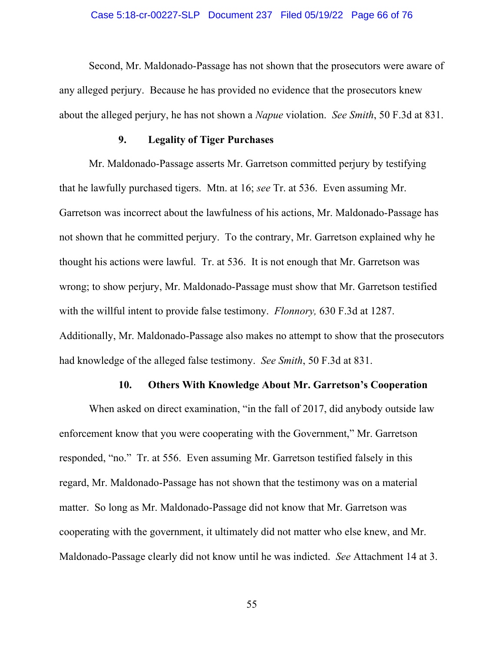#### Case 5:18-cr-00227-SLP Document 237 Filed 05/19/22 Page 66 of 76

Second, Mr. Maldonado-Passage has not shown that the prosecutors were aware of any alleged perjury. Because he has provided no evidence that the prosecutors knew about the alleged perjury, he has not shown a *Napue* violation. *See Smith*, 50 F.3d at 831.

## **9. Legality of Tiger Purchases**

Mr. Maldonado-Passage asserts Mr. Garretson committed perjury by testifying that he lawfully purchased tigers. Mtn. at 16; *see* Tr. at 536. Even assuming Mr. Garretson was incorrect about the lawfulness of his actions, Mr. Maldonado-Passage has not shown that he committed perjury. To the contrary, Mr. Garretson explained why he thought his actions were lawful. Tr. at 536. It is not enough that Mr. Garretson was wrong; to show perjury, Mr. Maldonado-Passage must show that Mr. Garretson testified with the willful intent to provide false testimony. *Flonnory,* 630 F.3d at 1287. Additionally, Mr. Maldonado-Passage also makes no attempt to show that the prosecutors had knowledge of the alleged false testimony. *See Smith*, 50 F.3d at 831.

### **10. Others With Knowledge About Mr. Garretson's Cooperation**

When asked on direct examination, "in the fall of 2017, did anybody outside law enforcement know that you were cooperating with the Government," Mr. Garretson responded, "no." Tr. at 556. Even assuming Mr. Garretson testified falsely in this regard, Mr. Maldonado-Passage has not shown that the testimony was on a material matter. So long as Mr. Maldonado-Passage did not know that Mr. Garretson was cooperating with the government, it ultimately did not matter who else knew, and Mr. Maldonado-Passage clearly did not know until he was indicted. *See* Attachment 14 at 3.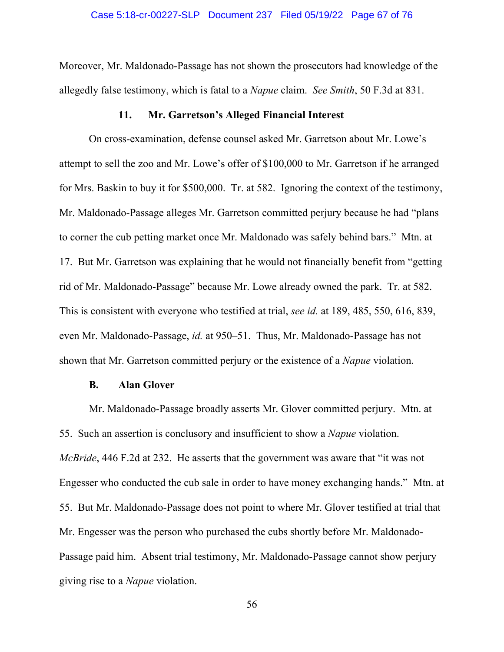Moreover, Mr. Maldonado-Passage has not shown the prosecutors had knowledge of the allegedly false testimony, which is fatal to a *Napue* claim. *See Smith*, 50 F.3d at 831.

## **11. Mr. Garretson's Alleged Financial Interest**

On cross-examination, defense counsel asked Mr. Garretson about Mr. Lowe's attempt to sell the zoo and Mr. Lowe's offer of \$100,000 to Mr. Garretson if he arranged for Mrs. Baskin to buy it for \$500,000. Tr. at 582. Ignoring the context of the testimony, Mr. Maldonado-Passage alleges Mr. Garretson committed perjury because he had "plans to corner the cub petting market once Mr. Maldonado was safely behind bars." Mtn. at 17. But Mr. Garretson was explaining that he would not financially benefit from "getting rid of Mr. Maldonado-Passage" because Mr. Lowe already owned the park. Tr. at 582. This is consistent with everyone who testified at trial, *see id.* at 189, 485, 550, 616, 839, even Mr. Maldonado-Passage, *id.* at 950–51. Thus, Mr. Maldonado-Passage has not shown that Mr. Garretson committed perjury or the existence of a *Napue* violation.

### **B. Alan Glover**

Mr. Maldonado-Passage broadly asserts Mr. Glover committed perjury. Mtn. at 55. Such an assertion is conclusory and insufficient to show a *Napue* violation. *McBride*, 446 F.2d at 232. He asserts that the government was aware that "it was not Engesser who conducted the cub sale in order to have money exchanging hands." Mtn. at 55. But Mr. Maldonado-Passage does not point to where Mr. Glover testified at trial that Mr. Engesser was the person who purchased the cubs shortly before Mr. Maldonado-Passage paid him. Absent trial testimony, Mr. Maldonado-Passage cannot show perjury giving rise to a *Napue* violation.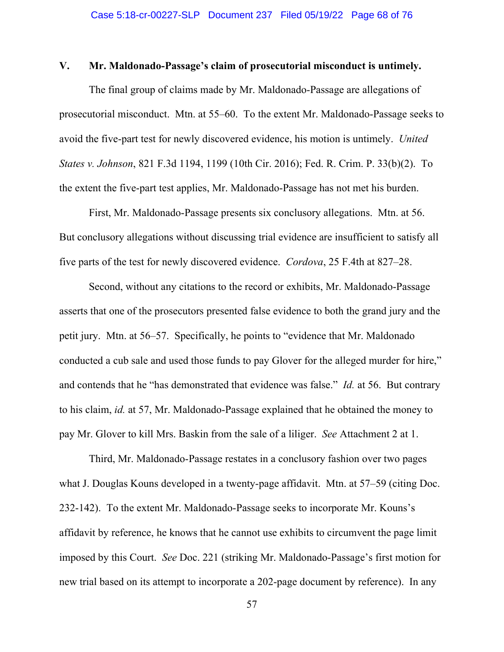## **V. Mr. Maldonado-Passage's claim of prosecutorial misconduct is untimely.**

The final group of claims made by Mr. Maldonado-Passage are allegations of prosecutorial misconduct. Mtn. at 55–60. To the extent Mr. Maldonado-Passage seeks to avoid the five-part test for newly discovered evidence, his motion is untimely. *United States v. Johnson*, 821 F.3d 1194, 1199 (10th Cir. 2016); Fed. R. Crim. P. 33(b)(2). To the extent the five-part test applies, Mr. Maldonado-Passage has not met his burden.

First, Mr. Maldonado-Passage presents six conclusory allegations. Mtn. at 56. But conclusory allegations without discussing trial evidence are insufficient to satisfy all five parts of the test for newly discovered evidence. *Cordova*, 25 F.4th at 827–28.

Second, without any citations to the record or exhibits, Mr. Maldonado-Passage asserts that one of the prosecutors presented false evidence to both the grand jury and the petit jury. Mtn. at 56–57. Specifically, he points to "evidence that Mr. Maldonado conducted a cub sale and used those funds to pay Glover for the alleged murder for hire," and contends that he "has demonstrated that evidence was false." *Id.* at 56. But contrary to his claim, *id.* at 57, Mr. Maldonado-Passage explained that he obtained the money to pay Mr. Glover to kill Mrs. Baskin from the sale of a liliger. *See* Attachment 2 at 1.

Third, Mr. Maldonado-Passage restates in a conclusory fashion over two pages what J. Douglas Kouns developed in a twenty-page affidavit. Mtn. at 57–59 (citing Doc. 232-142). To the extent Mr. Maldonado-Passage seeks to incorporate Mr. Kouns's affidavit by reference, he knows that he cannot use exhibits to circumvent the page limit imposed by this Court. *See* Doc. 221 (striking Mr. Maldonado-Passage's first motion for new trial based on its attempt to incorporate a 202-page document by reference). In any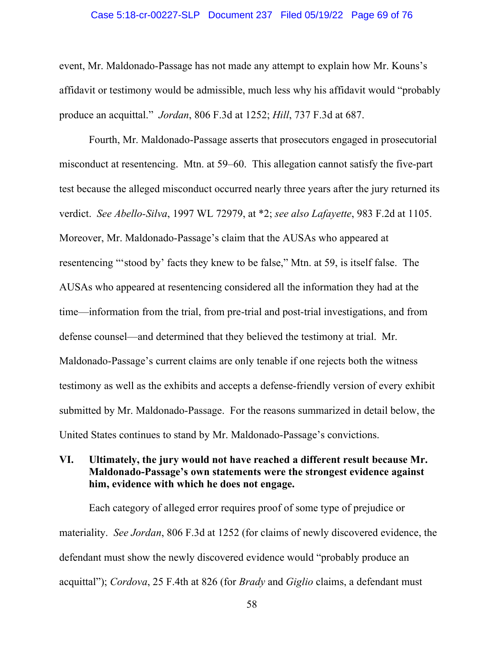#### Case 5:18-cr-00227-SLP Document 237 Filed 05/19/22 Page 69 of 76

event, Mr. Maldonado-Passage has not made any attempt to explain how Mr. Kouns's affidavit or testimony would be admissible, much less why his affidavit would "probably produce an acquittal." *Jordan*, 806 F.3d at 1252; *Hill*, 737 F.3d at 687.

Fourth, Mr. Maldonado-Passage asserts that prosecutors engaged in prosecutorial misconduct at resentencing. Mtn. at 59–60. This allegation cannot satisfy the five-part test because the alleged misconduct occurred nearly three years after the jury returned its verdict. *See Abello-Silva*, 1997 WL 72979, at \*2; *see also Lafayette*, 983 F.2d at 1105. Moreover, Mr. Maldonado-Passage's claim that the AUSAs who appeared at resentencing "'stood by' facts they knew to be false," Mtn. at 59, is itself false. The AUSAs who appeared at resentencing considered all the information they had at the time—information from the trial, from pre-trial and post-trial investigations, and from defense counsel—and determined that they believed the testimony at trial. Mr. Maldonado-Passage's current claims are only tenable if one rejects both the witness testimony as well as the exhibits and accepts a defense-friendly version of every exhibit submitted by Mr. Maldonado-Passage. For the reasons summarized in detail below, the United States continues to stand by Mr. Maldonado-Passage's convictions.

# **VI. Ultimately, the jury would not have reached a different result because Mr. Maldonado-Passage's own statements were the strongest evidence against him, evidence with which he does not engage.**

Each category of alleged error requires proof of some type of prejudice or materiality. *See Jordan*, 806 F.3d at 1252 (for claims of newly discovered evidence, the defendant must show the newly discovered evidence would "probably produce an acquittal"); *Cordova*, 25 F.4th at 826 (for *Brady* and *Giglio* claims, a defendant must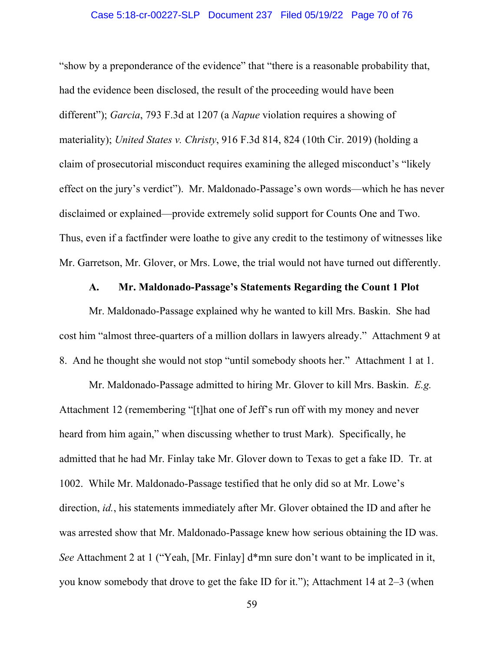### Case 5:18-cr-00227-SLP Document 237 Filed 05/19/22 Page 70 of 76

"show by a preponderance of the evidence" that "there is a reasonable probability that, had the evidence been disclosed, the result of the proceeding would have been different"); *Garcia*, 793 F.3d at 1207 (a *Napue* violation requires a showing of materiality); *United States v. Christy*, 916 F.3d 814, 824 (10th Cir. 2019) (holding a claim of prosecutorial misconduct requires examining the alleged misconduct's "likely effect on the jury's verdict"). Mr. Maldonado-Passage's own words—which he has never disclaimed or explained—provide extremely solid support for Counts One and Two. Thus, even if a factfinder were loathe to give any credit to the testimony of witnesses like Mr. Garretson, Mr. Glover, or Mrs. Lowe, the trial would not have turned out differently.

## **A. Mr. Maldonado-Passage's Statements Regarding the Count 1 Plot**

Mr. Maldonado-Passage explained why he wanted to kill Mrs. Baskin. She had cost him "almost three-quarters of a million dollars in lawyers already." Attachment 9 at 8. And he thought she would not stop "until somebody shoots her." Attachment 1 at 1.

Mr. Maldonado-Passage admitted to hiring Mr. Glover to kill Mrs. Baskin. *E.g.* Attachment 12 (remembering "[t]hat one of Jeff's run off with my money and never heard from him again," when discussing whether to trust Mark). Specifically, he admitted that he had Mr. Finlay take Mr. Glover down to Texas to get a fake ID. Tr. at 1002. While Mr. Maldonado-Passage testified that he only did so at Mr. Lowe's direction, *id.*, his statements immediately after Mr. Glover obtained the ID and after he was arrested show that Mr. Maldonado-Passage knew how serious obtaining the ID was. *See* Attachment 2 at 1 ("Yeah, [Mr. Finlay] d\*mn sure don't want to be implicated in it, you know somebody that drove to get the fake ID for it."); Attachment 14 at 2–3 (when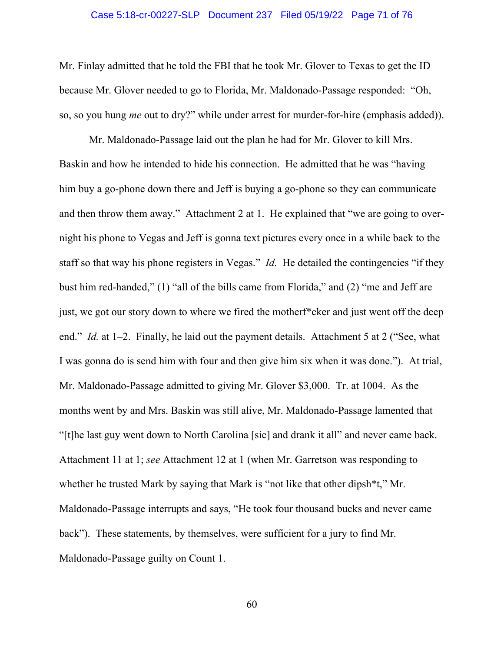#### Case 5:18-cr-00227-SLP Document 237 Filed 05/19/22 Page 71 of 76

Mr. Finlay admitted that he told the FBI that he took Mr. Glover to Texas to get the ID because Mr. Glover needed to go to Florida, Mr. Maldonado-Passage responded: "Oh, so, so you hung *me* out to dry?" while under arrest for murder-for-hire (emphasis added)).

Mr. Maldonado-Passage laid out the plan he had for Mr. Glover to kill Mrs. Baskin and how he intended to hide his connection. He admitted that he was "having him buy a go-phone down there and Jeff is buying a go-phone so they can communicate and then throw them away." Attachment 2 at 1. He explained that "we are going to overnight his phone to Vegas and Jeff is gonna text pictures every once in a while back to the staff so that way his phone registers in Vegas." *Id.* He detailed the contingencies "if they bust him red-handed," (1) "all of the bills came from Florida," and (2) "me and Jeff are just, we got our story down to where we fired the motherf\*cker and just went off the deep end." *Id.* at 1–2. Finally, he laid out the payment details. Attachment 5 at 2 ("See, what I was gonna do is send him with four and then give him six when it was done."). At trial, Mr. Maldonado-Passage admitted to giving Mr. Glover \$3,000. Tr. at 1004. As the months went by and Mrs. Baskin was still alive, Mr. Maldonado-Passage lamented that "[t]he last guy went down to North Carolina [sic] and drank it all" and never came back. Attachment 11 at 1; *see* Attachment 12 at 1 (when Mr. Garretson was responding to whether he trusted Mark by saying that Mark is "not like that other dipsh<sup>\*t</sup>," Mr. Maldonado-Passage interrupts and says, "He took four thousand bucks and never came back"). These statements, by themselves, were sufficient for a jury to find Mr. Maldonado-Passage guilty on Count 1.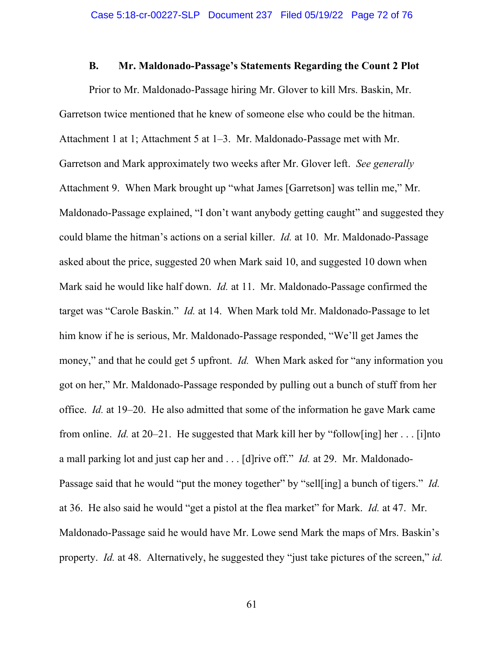### **B. Mr. Maldonado-Passage's Statements Regarding the Count 2 Plot**

Prior to Mr. Maldonado-Passage hiring Mr. Glover to kill Mrs. Baskin, Mr. Garretson twice mentioned that he knew of someone else who could be the hitman. Attachment 1 at 1; Attachment 5 at 1–3. Mr. Maldonado-Passage met with Mr. Garretson and Mark approximately two weeks after Mr. Glover left. *See generally* Attachment 9. When Mark brought up "what James [Garretson] was tellin me," Mr. Maldonado-Passage explained, "I don't want anybody getting caught" and suggested they could blame the hitman's actions on a serial killer. *Id.* at 10. Mr. Maldonado-Passage asked about the price, suggested 20 when Mark said 10, and suggested 10 down when Mark said he would like half down. *Id.* at 11. Mr. Maldonado-Passage confirmed the target was "Carole Baskin." *Id.* at 14. When Mark told Mr. Maldonado-Passage to let him know if he is serious, Mr. Maldonado-Passage responded, "We'll get James the money," and that he could get 5 upfront. *Id.* When Mark asked for "any information you got on her," Mr. Maldonado-Passage responded by pulling out a bunch of stuff from her office. *Id.* at 19–20. He also admitted that some of the information he gave Mark came from online. *Id.* at 20–21. He suggested that Mark kill her by "follow[ing] her . . . [i]nto a mall parking lot and just cap her and . . . [d]rive off." *Id.* at 29. Mr. Maldonado-Passage said that he would "put the money together" by "sell[ing] a bunch of tigers." *Id.* at 36. He also said he would "get a pistol at the flea market" for Mark. *Id.* at 47. Mr. Maldonado-Passage said he would have Mr. Lowe send Mark the maps of Mrs. Baskin's property. *Id.* at 48. Alternatively, he suggested they "just take pictures of the screen," *id.*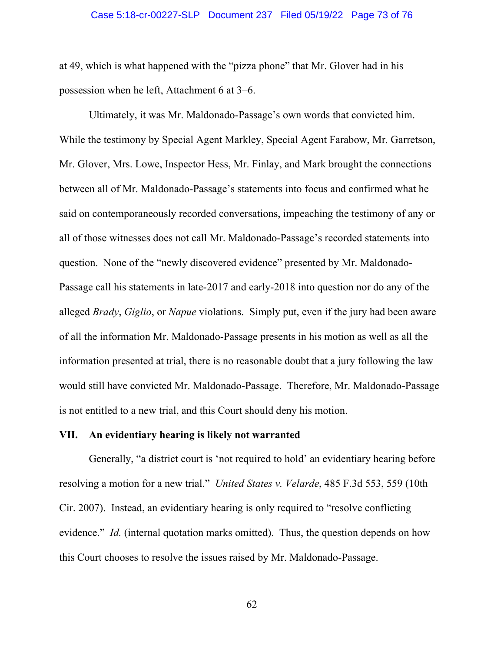#### Case 5:18-cr-00227-SLP Document 237 Filed 05/19/22 Page 73 of 76

at 49, which is what happened with the "pizza phone" that Mr. Glover had in his possession when he left, Attachment 6 at 3–6.

Ultimately, it was Mr. Maldonado-Passage's own words that convicted him. While the testimony by Special Agent Markley, Special Agent Farabow, Mr. Garretson, Mr. Glover, Mrs. Lowe, Inspector Hess, Mr. Finlay, and Mark brought the connections between all of Mr. Maldonado-Passage's statements into focus and confirmed what he said on contemporaneously recorded conversations, impeaching the testimony of any or all of those witnesses does not call Mr. Maldonado-Passage's recorded statements into question. None of the "newly discovered evidence" presented by Mr. Maldonado-Passage call his statements in late-2017 and early-2018 into question nor do any of the alleged *Brady*, *Giglio*, or *Napue* violations. Simply put, even if the jury had been aware of all the information Mr. Maldonado-Passage presents in his motion as well as all the information presented at trial, there is no reasonable doubt that a jury following the law would still have convicted Mr. Maldonado-Passage. Therefore, Mr. Maldonado-Passage is not entitled to a new trial, and this Court should deny his motion.

## **VII. An evidentiary hearing is likely not warranted**

Generally, "a district court is 'not required to hold' an evidentiary hearing before resolving a motion for a new trial." *United States v. Velarde*, 485 F.3d 553, 559 (10th Cir. 2007). Instead, an evidentiary hearing is only required to "resolve conflicting evidence." *Id.* (internal quotation marks omitted). Thus, the question depends on how this Court chooses to resolve the issues raised by Mr. Maldonado-Passage.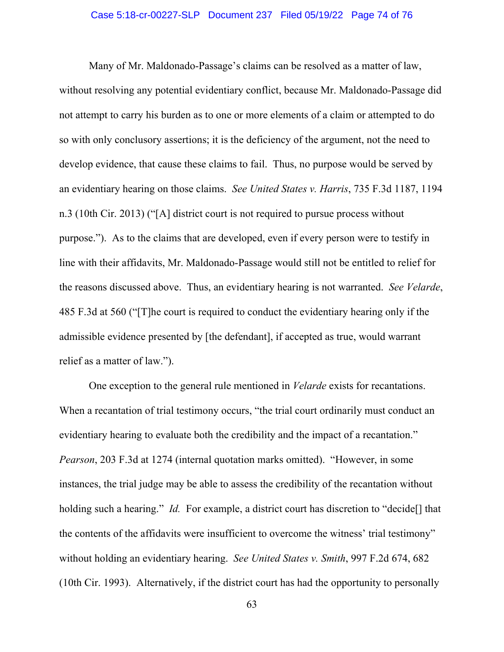### Case 5:18-cr-00227-SLP Document 237 Filed 05/19/22 Page 74 of 76

Many of Mr. Maldonado-Passage's claims can be resolved as a matter of law, without resolving any potential evidentiary conflict, because Mr. Maldonado-Passage did not attempt to carry his burden as to one or more elements of a claim or attempted to do so with only conclusory assertions; it is the deficiency of the argument, not the need to develop evidence, that cause these claims to fail. Thus, no purpose would be served by an evidentiary hearing on those claims. *See United States v. Harris*, 735 F.3d 1187, 1194 n.3 (10th Cir. 2013) ("[A] district court is not required to pursue process without purpose."). As to the claims that are developed, even if every person were to testify in line with their affidavits, Mr. Maldonado-Passage would still not be entitled to relief for the reasons discussed above. Thus, an evidentiary hearing is not warranted. *See Velarde*, 485 F.3d at 560 ("[T]he court is required to conduct the evidentiary hearing only if the admissible evidence presented by [the defendant], if accepted as true, would warrant relief as a matter of law.").

One exception to the general rule mentioned in *Velarde* exists for recantations. When a recantation of trial testimony occurs, "the trial court ordinarily must conduct an evidentiary hearing to evaluate both the credibility and the impact of a recantation." *Pearson*, 203 F.3d at 1274 (internal quotation marks omitted). "However, in some instances, the trial judge may be able to assess the credibility of the recantation without holding such a hearing." *Id.* For example, a district court has discretion to "decide<sup>[]</sup> that the contents of the affidavits were insufficient to overcome the witness' trial testimony" without holding an evidentiary hearing. *See United States v. Smith*, 997 F.2d 674, 682 (10th Cir. 1993). Alternatively, if the district court has had the opportunity to personally

63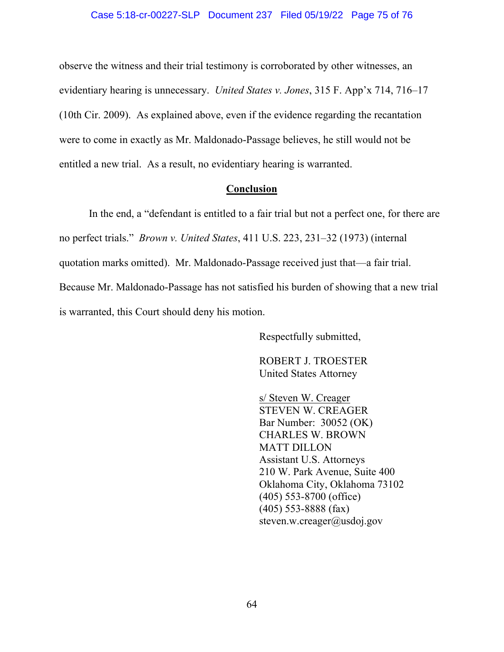observe the witness and their trial testimony is corroborated by other witnesses, an evidentiary hearing is unnecessary. *United States v. Jones*, 315 F. App'x 714, 716–17 (10th Cir. 2009). As explained above, even if the evidence regarding the recantation were to come in exactly as Mr. Maldonado-Passage believes, he still would not be entitled a new trial. As a result, no evidentiary hearing is warranted.

## **Conclusion**

 In the end, a "defendant is entitled to a fair trial but not a perfect one, for there are no perfect trials." *Brown v. United States*, 411 U.S. 223, 231–32 (1973) (internal quotation marks omitted). Mr. Maldonado-Passage received just that—a fair trial. Because Mr. Maldonado-Passage has not satisfied his burden of showing that a new trial is warranted, this Court should deny his motion.

Respectfully submitted,

ROBERT J. TROESTER United States Attorney

s/ Steven W. Creager STEVEN W. CREAGER Bar Number: 30052 (OK) CHARLES W. BROWN MATT DILLON Assistant U.S. Attorneys 210 W. Park Avenue, Suite 400 Oklahoma City, Oklahoma 73102 (405) 553-8700 (office) (405) 553-8888 (fax) steven.w.creager@usdoj.gov